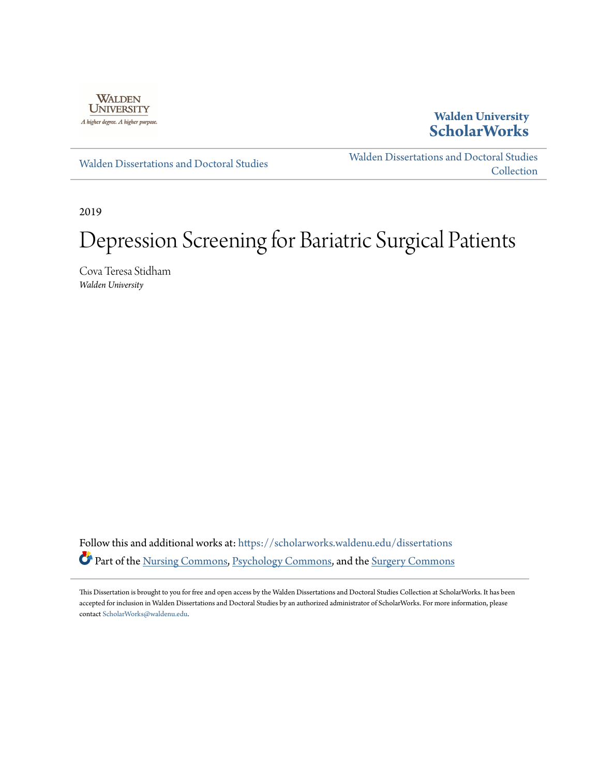

## **Walden University [ScholarWorks](https://scholarworks.waldenu.edu?utm_source=scholarworks.waldenu.edu%2Fdissertations%2F6866&utm_medium=PDF&utm_campaign=PDFCoverPages)**

[Walden Dissertations and Doctoral Studies](https://scholarworks.waldenu.edu/dissertations?utm_source=scholarworks.waldenu.edu%2Fdissertations%2F6866&utm_medium=PDF&utm_campaign=PDFCoverPages)

[Walden Dissertations and Doctoral Studies](https://scholarworks.waldenu.edu/dissanddoc?utm_source=scholarworks.waldenu.edu%2Fdissertations%2F6866&utm_medium=PDF&utm_campaign=PDFCoverPages) **[Collection](https://scholarworks.waldenu.edu/dissanddoc?utm_source=scholarworks.waldenu.edu%2Fdissertations%2F6866&utm_medium=PDF&utm_campaign=PDFCoverPages)** 

2019

# Depression Screening for Bariatric Surgical Patients

Cova Teresa Stidham *Walden University*

Follow this and additional works at: [https://scholarworks.waldenu.edu/dissertations](https://scholarworks.waldenu.edu/dissertations?utm_source=scholarworks.waldenu.edu%2Fdissertations%2F6866&utm_medium=PDF&utm_campaign=PDFCoverPages) Part of the [Nursing Commons](http://network.bepress.com/hgg/discipline/718?utm_source=scholarworks.waldenu.edu%2Fdissertations%2F6866&utm_medium=PDF&utm_campaign=PDFCoverPages), [Psychology Commons,](http://network.bepress.com/hgg/discipline/404?utm_source=scholarworks.waldenu.edu%2Fdissertations%2F6866&utm_medium=PDF&utm_campaign=PDFCoverPages) and the [Surgery Commons](http://network.bepress.com/hgg/discipline/706?utm_source=scholarworks.waldenu.edu%2Fdissertations%2F6866&utm_medium=PDF&utm_campaign=PDFCoverPages)

This Dissertation is brought to you for free and open access by the Walden Dissertations and Doctoral Studies Collection at ScholarWorks. It has been accepted for inclusion in Walden Dissertations and Doctoral Studies by an authorized administrator of ScholarWorks. For more information, please contact [ScholarWorks@waldenu.edu](mailto:ScholarWorks@waldenu.edu).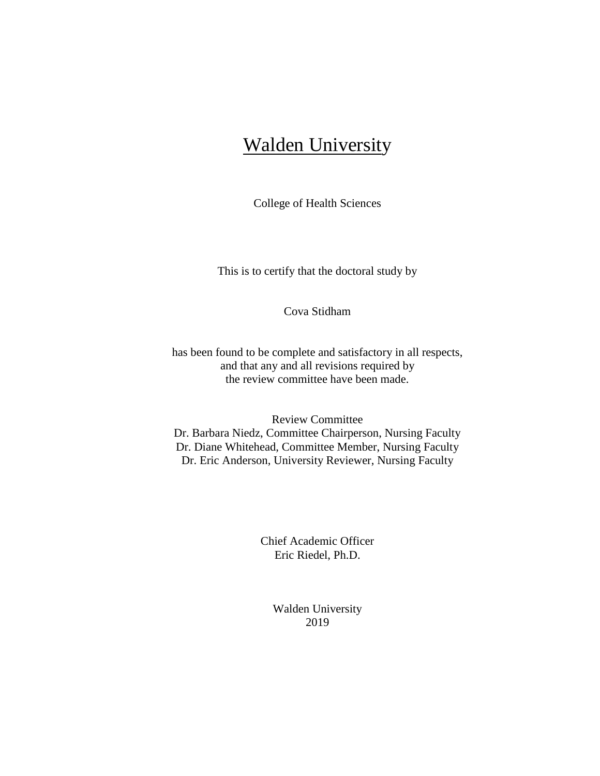## Walden University

College of Health Sciences

This is to certify that the doctoral study by

Cova Stidham

has been found to be complete and satisfactory in all respects, and that any and all revisions required by the review committee have been made.

Review Committee Dr. Barbara Niedz, Committee Chairperson, Nursing Faculty Dr. Diane Whitehead, Committee Member, Nursing Faculty Dr. Eric Anderson, University Reviewer, Nursing Faculty

> Chief Academic Officer Eric Riedel, Ph.D.

> > Walden University 2019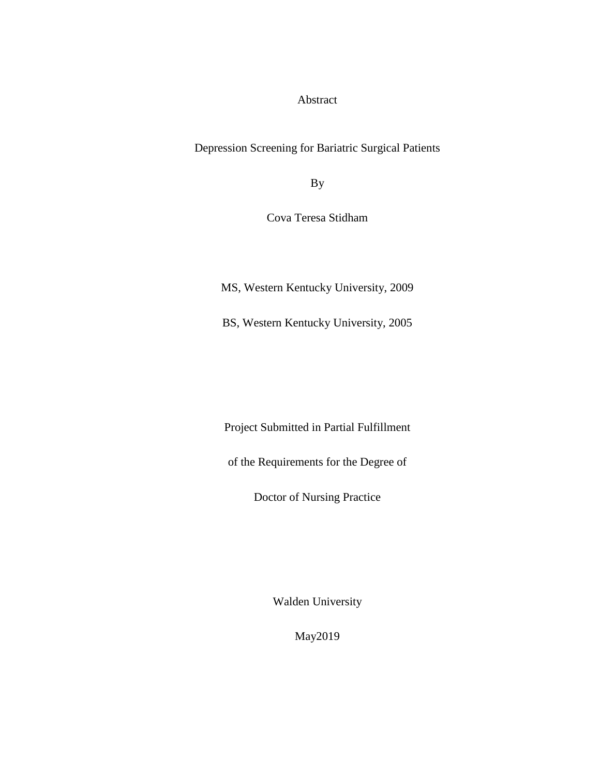Abstract

Depression Screening for Bariatric Surgical Patients

By

Cova Teresa Stidham

MS, Western Kentucky University, 2009

BS, Western Kentucky University, 2005

Project Submitted in Partial Fulfillment

of the Requirements for the Degree of

Doctor of Nursing Practice

Walden University

May2019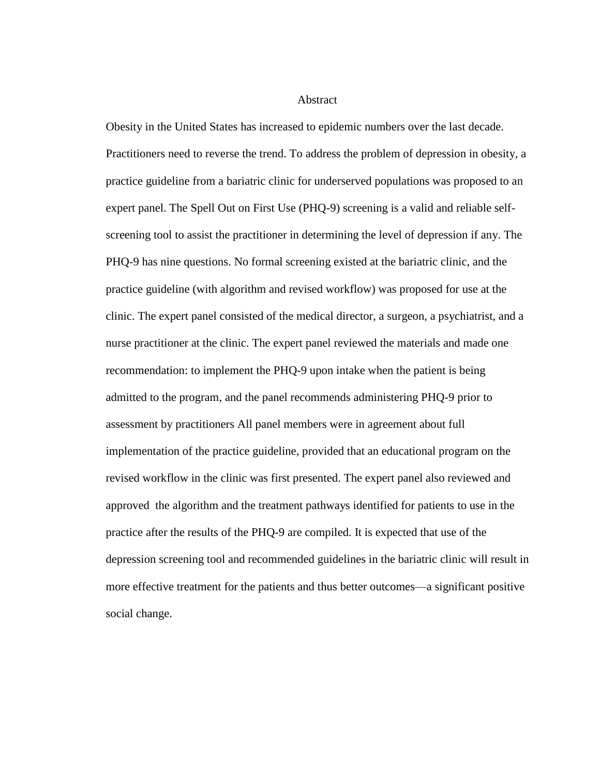#### Abstract

Obesity in the United States has increased to epidemic numbers over the last decade. Practitioners need to reverse the trend. To address the problem of depression in obesity, a practice guideline from a bariatric clinic for underserved populations was proposed to an expert panel. The Spell Out on First Use (PHQ-9) screening is a valid and reliable selfscreening tool to assist the practitioner in determining the level of depression if any. The PHQ-9 has nine questions. No formal screening existed at the bariatric clinic, and the practice guideline (with algorithm and revised workflow) was proposed for use at the clinic. The expert panel consisted of the medical director, a surgeon, a psychiatrist, and a nurse practitioner at the clinic. The expert panel reviewed the materials and made one recommendation: to implement the PHQ-9 upon intake when the patient is being admitted to the program, and the panel recommends administering PHQ-9 prior to assessment by practitioners All panel members were in agreement about full implementation of the practice guideline, provided that an educational program on the revised workflow in the clinic was first presented. The expert panel also reviewed and approved the algorithm and the treatment pathways identified for patients to use in the practice after the results of the PHQ-9 are compiled. It is expected that use of the depression screening tool and recommended guidelines in the bariatric clinic will result in more effective treatment for the patients and thus better outcomes—a significant positive social change.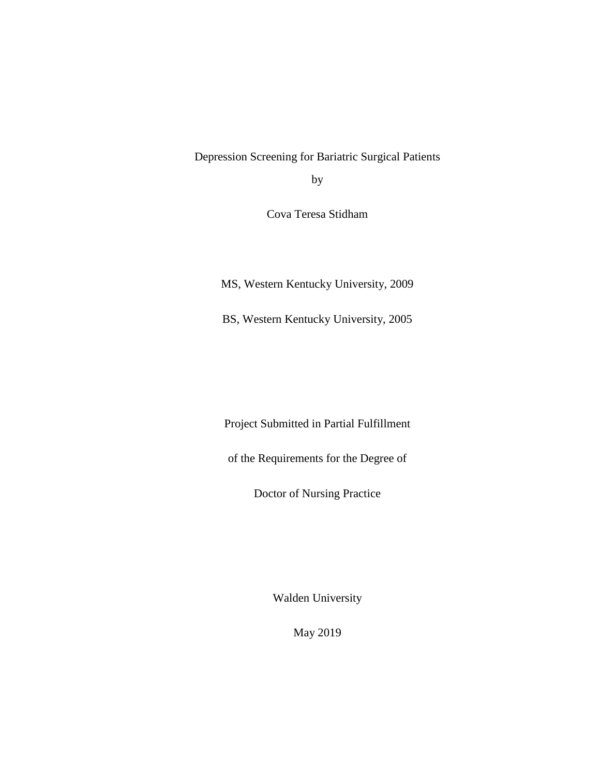Depression Screening for Bariatric Surgical Patients by

Cova Teresa Stidham

MS, Western Kentucky University, 2009

BS, Western Kentucky University, 2005

Project Submitted in Partial Fulfillment

of the Requirements for the Degree of

Doctor of Nursing Practice

Walden University

May 2019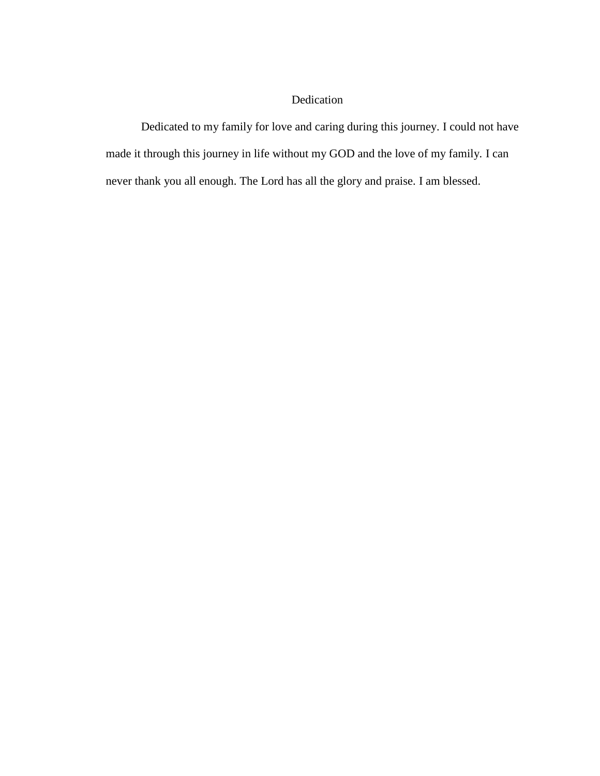### Dedication

Dedicated to my family for love and caring during this journey. I could not have made it through this journey in life without my GOD and the love of my family. I can never thank you all enough. The Lord has all the glory and praise. I am blessed.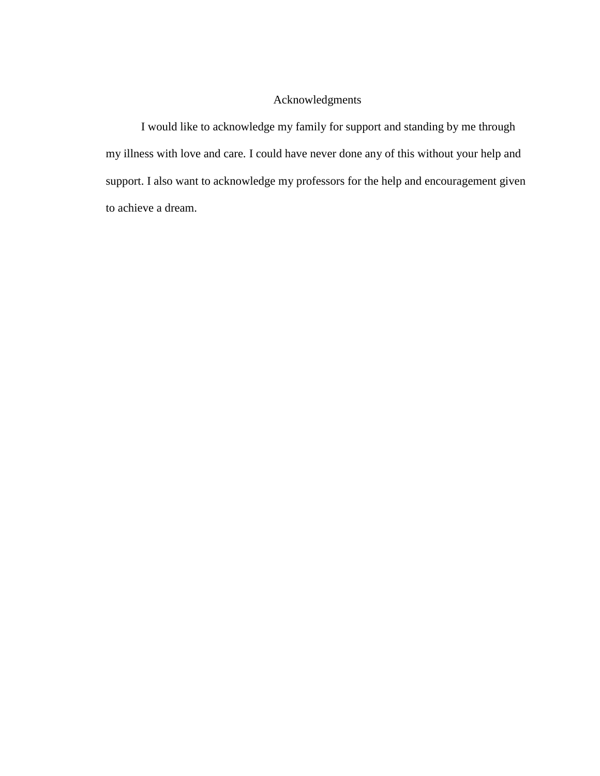### Acknowledgments

I would like to acknowledge my family for support and standing by me through my illness with love and care. I could have never done any of this without your help and support. I also want to acknowledge my professors for the help and encouragement given to achieve a dream.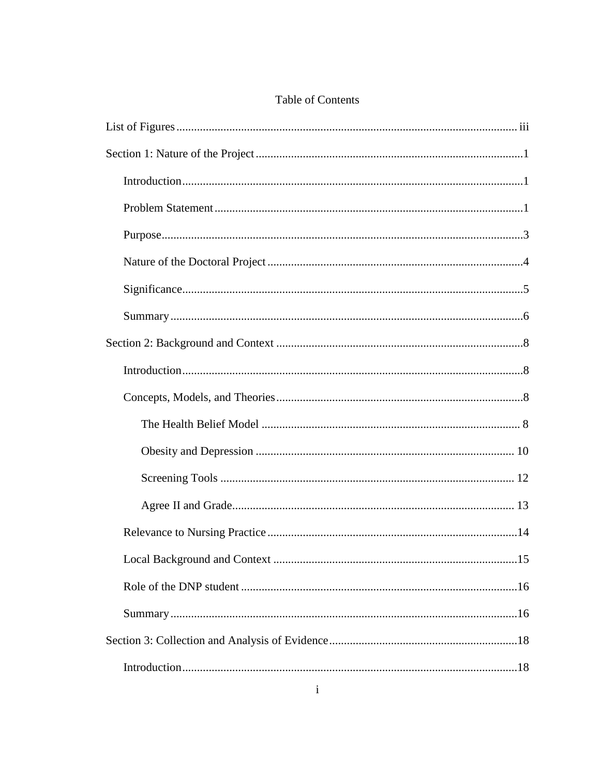| $\mathbf{i}$ |
|--------------|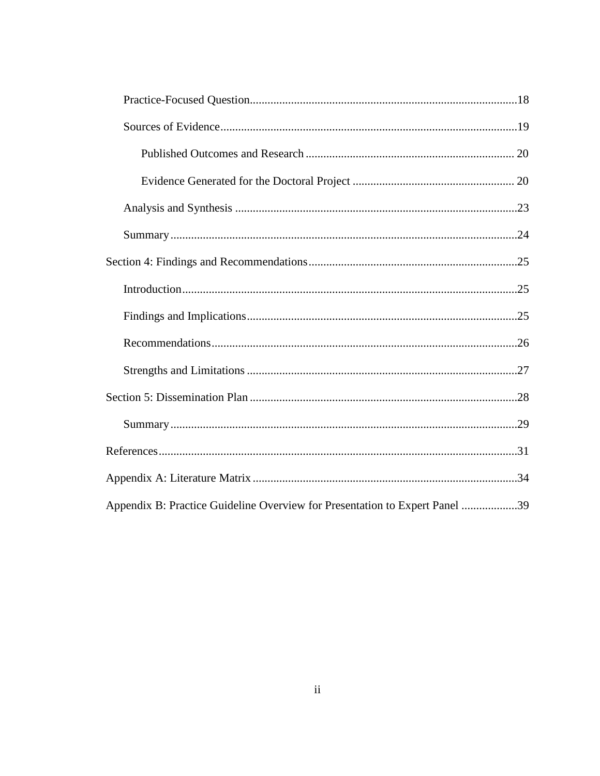| Appendix B: Practice Guideline Overview for Presentation to Expert Panel 39 |  |
|-----------------------------------------------------------------------------|--|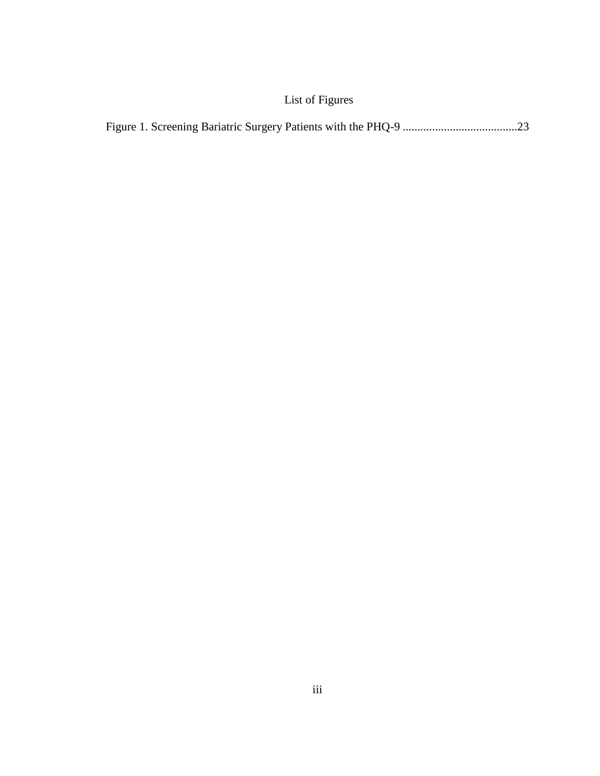## <span id="page-9-0"></span>List of Figures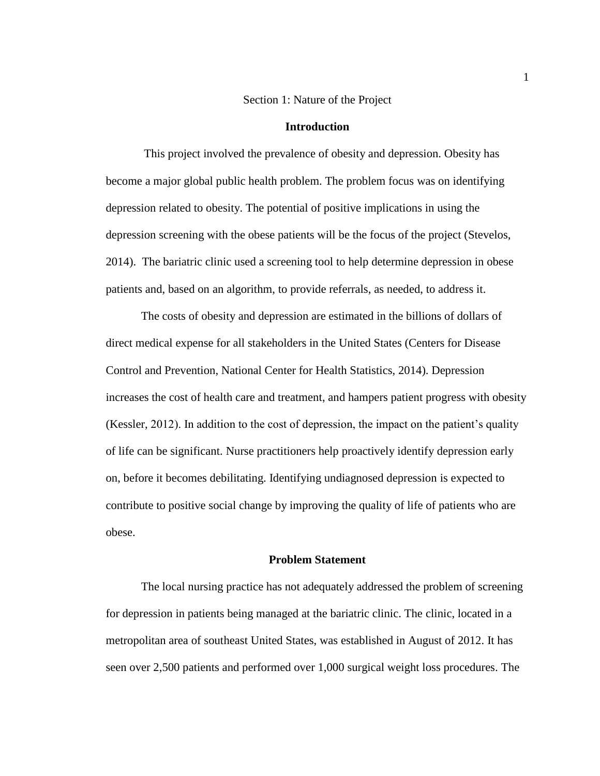#### Section 1: Nature of the Project

#### **Introduction**

<span id="page-10-1"></span><span id="page-10-0"></span>This project involved the prevalence of obesity and depression. Obesity has become a major global public health problem. The problem focus was on identifying depression related to obesity. The potential of positive implications in using the depression screening with the obese patients will be the focus of the project (Stevelos, 2014). The bariatric clinic used a screening tool to help determine depression in obese patients and, based on an algorithm, to provide referrals, as needed, to address it.

The costs of obesity and depression are estimated in the billions of dollars of direct medical expense for all stakeholders in the United States (Centers for Disease Control and Prevention, National Center for Health Statistics, 2014). Depression increases the cost of health care and treatment, and hampers patient progress with obesity (Kessler, 2012). In addition to the cost of depression, the impact on the patient's quality of life can be significant. Nurse practitioners help proactively identify depression early on, before it becomes debilitating. Identifying undiagnosed depression is expected to contribute to positive social change by improving the quality of life of patients who are obese.

#### **Problem Statement**

<span id="page-10-2"></span>The local nursing practice has not adequately addressed the problem of screening for depression in patients being managed at the bariatric clinic. The clinic, located in a metropolitan area of southeast United States, was established in August of 2012. It has seen over 2,500 patients and performed over 1,000 surgical weight loss procedures. The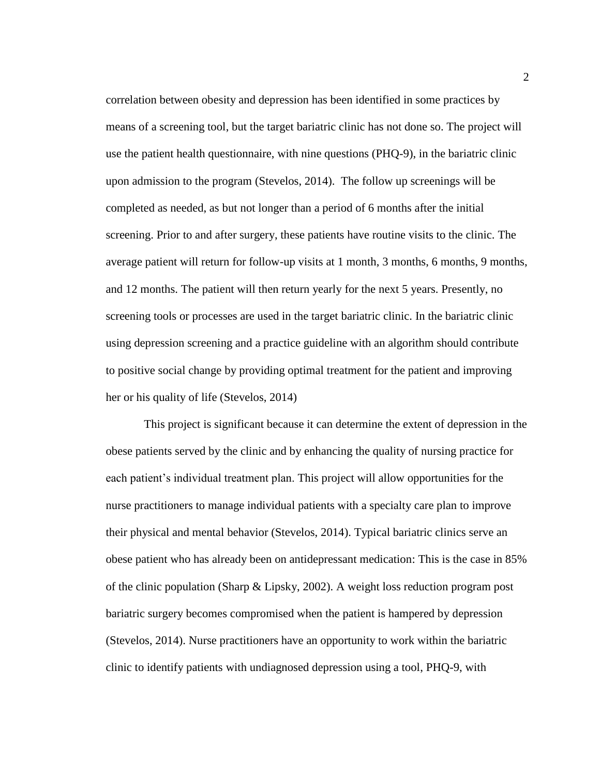correlation between obesity and depression has been identified in some practices by means of a screening tool, but the target bariatric clinic has not done so. The project will use the patient health questionnaire, with nine questions (PHQ-9), in the bariatric clinic upon admission to the program (Stevelos, 2014). The follow up screenings will be completed as needed, as but not longer than a period of 6 months after the initial screening. Prior to and after surgery, these patients have routine visits to the clinic. The average patient will return for follow-up visits at 1 month, 3 months, 6 months, 9 months, and 12 months. The patient will then return yearly for the next 5 years. Presently, no screening tools or processes are used in the target bariatric clinic. In the bariatric clinic using depression screening and a practice guideline with an algorithm should contribute to positive social change by providing optimal treatment for the patient and improving her or his quality of life (Stevelos, 2014)

This project is significant because it can determine the extent of depression in the obese patients served by the clinic and by enhancing the quality of nursing practice for each patient's individual treatment plan. This project will allow opportunities for the nurse practitioners to manage individual patients with a specialty care plan to improve their physical and mental behavior (Stevelos, 2014). Typical bariatric clinics serve an obese patient who has already been on antidepressant medication: This is the case in 85% of the clinic population (Sharp & Lipsky, 2002). A weight loss reduction program post bariatric surgery becomes compromised when the patient is hampered by depression (Stevelos, 2014). Nurse practitioners have an opportunity to work within the bariatric clinic to identify patients with undiagnosed depression using a tool, PHQ-9, with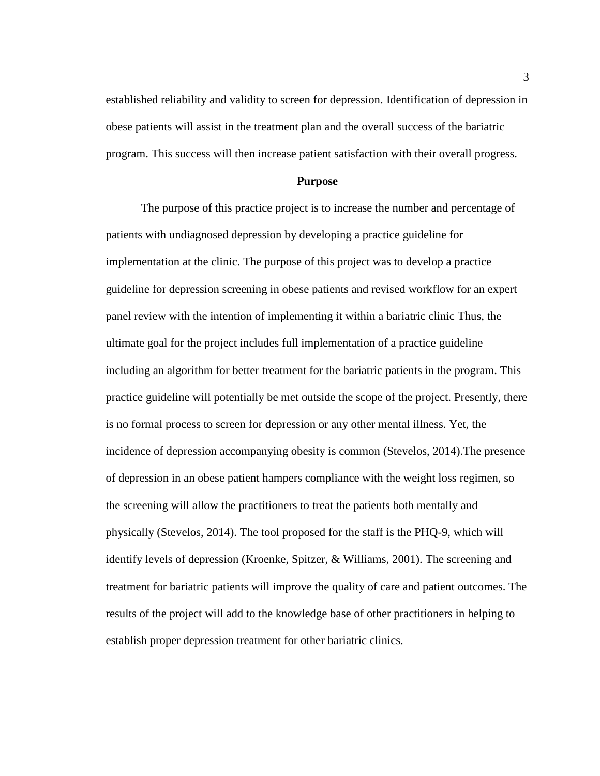established reliability and validity to screen for depression. Identification of depression in obese patients will assist in the treatment plan and the overall success of the bariatric program. This success will then increase patient satisfaction with their overall progress.

#### **Purpose**

<span id="page-12-0"></span>The purpose of this practice project is to increase the number and percentage of patients with undiagnosed depression by developing a practice guideline for implementation at the clinic. The purpose of this project was to develop a practice guideline for depression screening in obese patients and revised workflow for an expert panel review with the intention of implementing it within a bariatric clinic Thus, the ultimate goal for the project includes full implementation of a practice guideline including an algorithm for better treatment for the bariatric patients in the program. This practice guideline will potentially be met outside the scope of the project. Presently, there is no formal process to screen for depression or any other mental illness. Yet, the incidence of depression accompanying obesity is common (Stevelos, 2014).The presence of depression in an obese patient hampers compliance with the weight loss regimen, so the screening will allow the practitioners to treat the patients both mentally and physically (Stevelos, 2014). The tool proposed for the staff is the PHQ-9, which will identify levels of depression (Kroenke, Spitzer, & Williams, 2001). The screening and treatment for bariatric patients will improve the quality of care and patient outcomes. The results of the project will add to the knowledge base of other practitioners in helping to establish proper depression treatment for other bariatric clinics.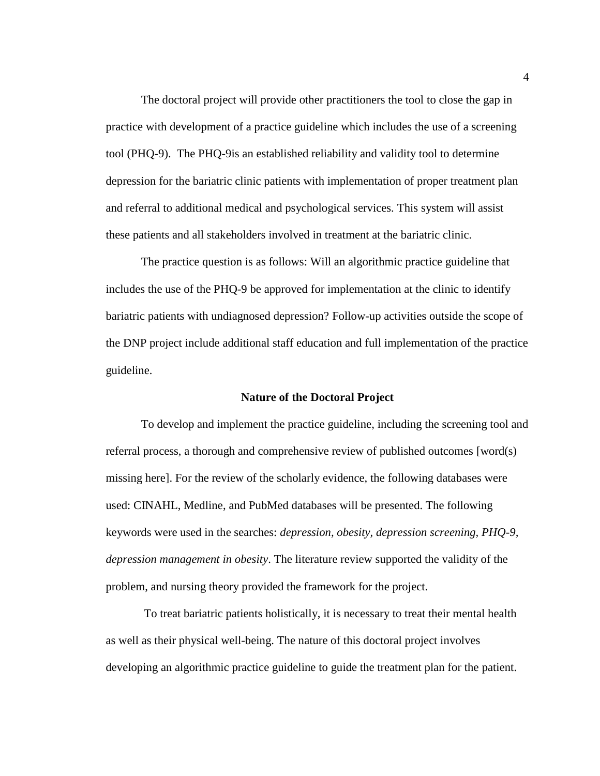The doctoral project will provide other practitioners the tool to close the gap in practice with development of a practice guideline which includes the use of a screening tool (PHQ-9). The PHQ-9is an established reliability and validity tool to determine depression for the bariatric clinic patients with implementation of proper treatment plan and referral to additional medical and psychological services. This system will assist these patients and all stakeholders involved in treatment at the bariatric clinic.

The practice question is as follows: Will an algorithmic practice guideline that includes the use of the PHQ-9 be approved for implementation at the clinic to identify bariatric patients with undiagnosed depression? Follow-up activities outside the scope of the DNP project include additional staff education and full implementation of the practice guideline.

#### **Nature of the Doctoral Project**

<span id="page-13-0"></span>To develop and implement the practice guideline, including the screening tool and referral process, a thorough and comprehensive review of published outcomes [word(s) missing here]. For the review of the scholarly evidence, the following databases were used: CINAHL, Medline, and PubMed databases will be presented. The following keywords were used in the searches: *depression, obesity, depression screening, PHQ-9, depression management in obesity*. The literature review supported the validity of the problem, and nursing theory provided the framework for the project.

To treat bariatric patients holistically, it is necessary to treat their mental health as well as their physical well-being. The nature of this doctoral project involves developing an algorithmic practice guideline to guide the treatment plan for the patient.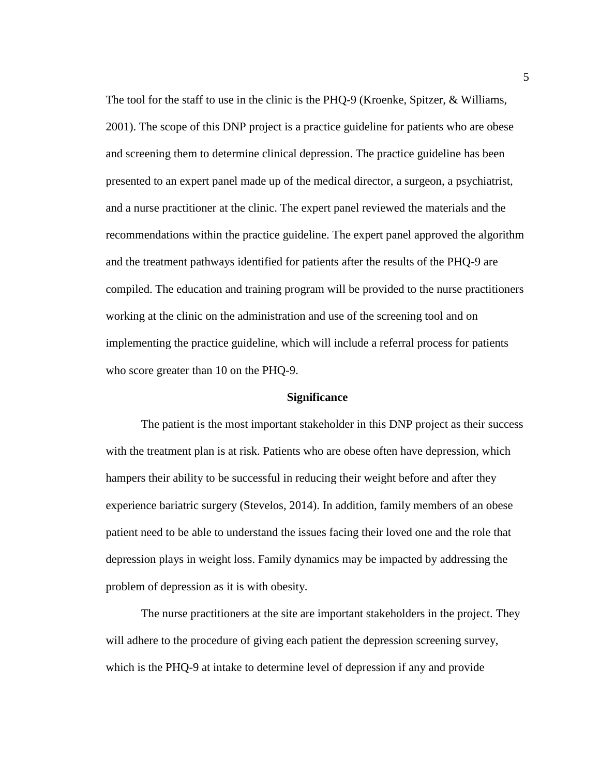The tool for the staff to use in the clinic is the PHQ-9 (Kroenke, Spitzer, & Williams, 2001). The scope of this DNP project is a practice guideline for patients who are obese and screening them to determine clinical depression. The practice guideline has been presented to an expert panel made up of the medical director, a surgeon, a psychiatrist, and a nurse practitioner at the clinic. The expert panel reviewed the materials and the recommendations within the practice guideline. The expert panel approved the algorithm and the treatment pathways identified for patients after the results of the PHQ-9 are compiled. The education and training program will be provided to the nurse practitioners working at the clinic on the administration and use of the screening tool and on implementing the practice guideline, which will include a referral process for patients who score greater than 10 on the PHQ-9.

#### **Significance**

<span id="page-14-0"></span>The patient is the most important stakeholder in this DNP project as their success with the treatment plan is at risk. Patients who are obese often have depression, which hampers their ability to be successful in reducing their weight before and after they experience bariatric surgery (Stevelos, 2014). In addition, family members of an obese patient need to be able to understand the issues facing their loved one and the role that depression plays in weight loss. Family dynamics may be impacted by addressing the problem of depression as it is with obesity.

The nurse practitioners at the site are important stakeholders in the project. They will adhere to the procedure of giving each patient the depression screening survey, which is the PHQ-9 at intake to determine level of depression if any and provide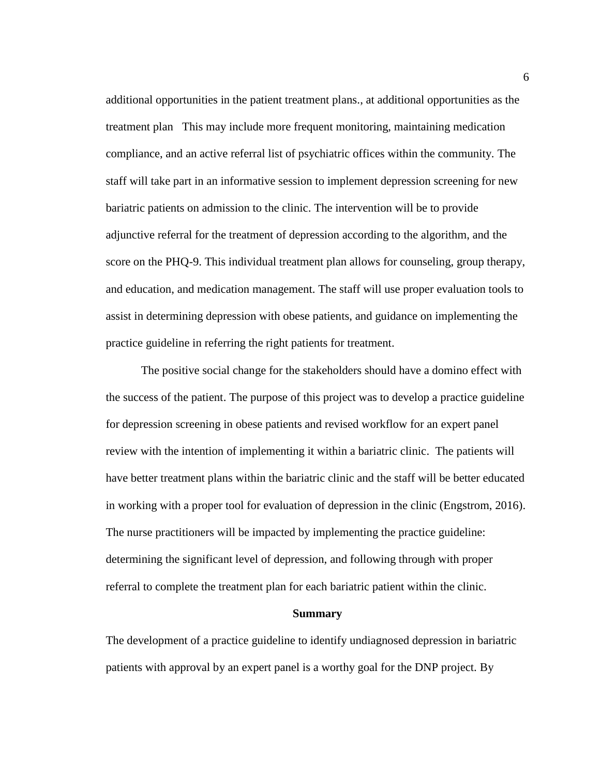additional opportunities in the patient treatment plans., at additional opportunities as the treatment plan This may include more frequent monitoring, maintaining medication compliance, and an active referral list of psychiatric offices within the community. The staff will take part in an informative session to implement depression screening for new bariatric patients on admission to the clinic. The intervention will be to provide adjunctive referral for the treatment of depression according to the algorithm, and the score on the PHQ-9. This individual treatment plan allows for counseling, group therapy, and education, and medication management. The staff will use proper evaluation tools to assist in determining depression with obese patients, and guidance on implementing the practice guideline in referring the right patients for treatment.

The positive social change for the stakeholders should have a domino effect with the success of the patient. The purpose of this project was to develop a practice guideline for depression screening in obese patients and revised workflow for an expert panel review with the intention of implementing it within a bariatric clinic. The patients will have better treatment plans within the bariatric clinic and the staff will be better educated in working with a proper tool for evaluation of depression in the clinic (Engstrom, 2016). The nurse practitioners will be impacted by implementing the practice guideline: determining the significant level of depression, and following through with proper referral to complete the treatment plan for each bariatric patient within the clinic.

#### **Summary**

<span id="page-15-0"></span>The development of a practice guideline to identify undiagnosed depression in bariatric patients with approval by an expert panel is a worthy goal for the DNP project. By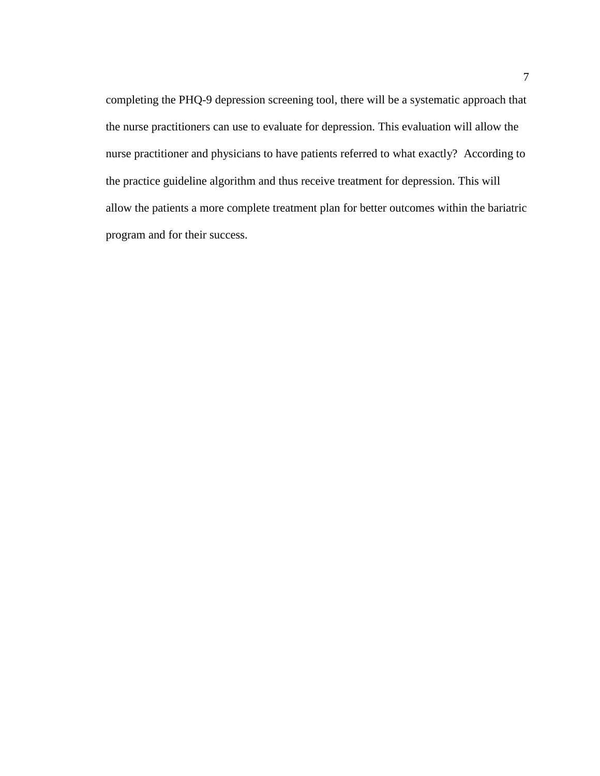completing the PHQ-9 depression screening tool, there will be a systematic approach that the nurse practitioners can use to evaluate for depression. This evaluation will allow the nurse practitioner and physicians to have patients referred to what exactly? According to the practice guideline algorithm and thus receive treatment for depression. This will allow the patients a more complete treatment plan for better outcomes within the bariatric program and for their success.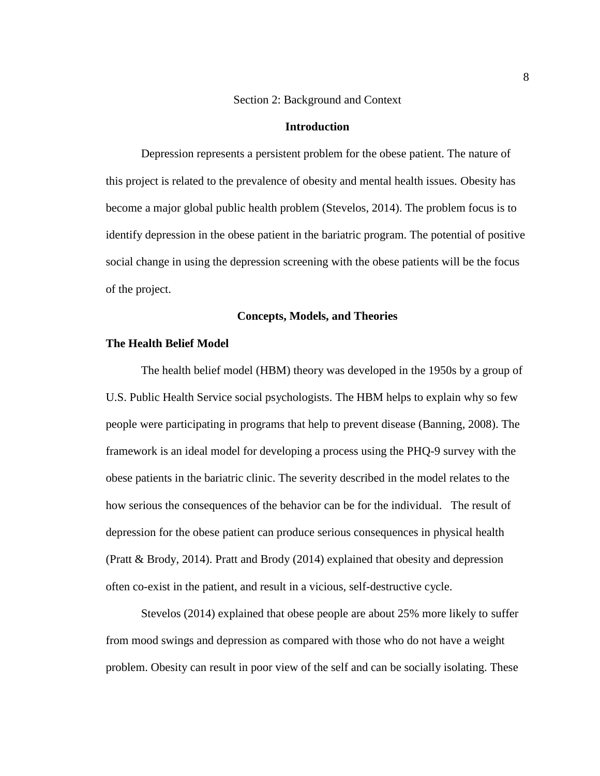#### Section 2: Background and Context

#### **Introduction**

<span id="page-17-1"></span><span id="page-17-0"></span>Depression represents a persistent problem for the obese patient. The nature of this project is related to the prevalence of obesity and mental health issues. Obesity has become a major global public health problem (Stevelos, 2014). The problem focus is to identify depression in the obese patient in the bariatric program. The potential of positive social change in using the depression screening with the obese patients will be the focus of the project.

#### **Concepts, Models, and Theories**

#### <span id="page-17-3"></span><span id="page-17-2"></span>**The Health Belief Model**

The health belief model (HBM) theory was developed in the 1950s by a group of U.S. Public Health Service social psychologists. The HBM helps to explain why so few people were participating in programs that help to prevent disease (Banning, 2008). The framework is an ideal model for developing a process using the PHQ-9 survey with the obese patients in the bariatric clinic. The severity described in the model relates to the how serious the consequences of the behavior can be for the individual. The result of depression for the obese patient can produce serious consequences in physical health (Pratt & Brody, 2014). Pratt and Brody (2014) explained that obesity and depression often co-exist in the patient, and result in a vicious, self-destructive cycle.

Stevelos (2014) explained that obese people are about 25% more likely to suffer from mood swings and depression as compared with those who do not have a weight problem. Obesity can result in poor view of the self and can be socially isolating. These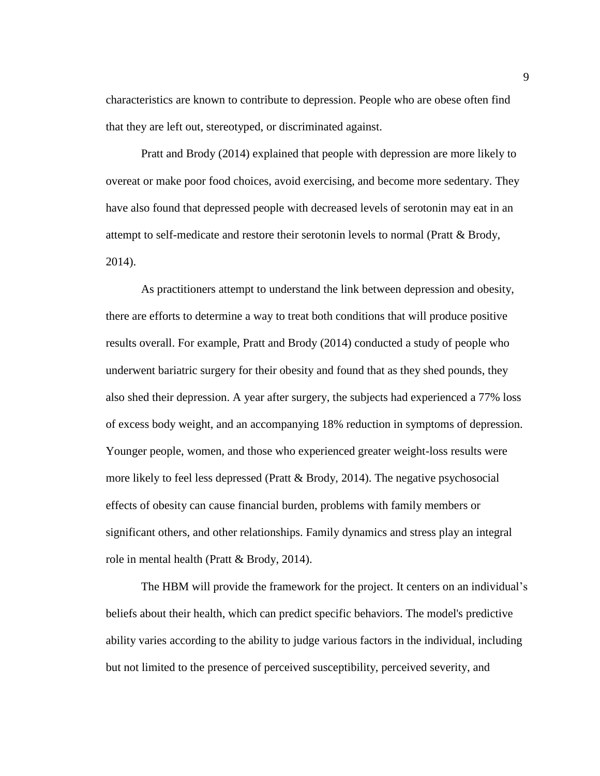characteristics are known to contribute to depression. People who are obese often find that they are left out, stereotyped, or discriminated against.

Pratt and Brody (2014) explained that people with depression are more likely to overeat or make poor food choices, avoid exercising, and become more sedentary. They have also found that depressed people with decreased levels of serotonin may eat in an attempt to self-medicate and restore their serotonin levels to normal (Pratt & Brody, 2014).

As practitioners attempt to understand the link between depression and obesity, there are efforts to determine a way to treat both conditions that will produce positive results overall. For example, Pratt and Brody (2014) conducted a study of people who underwent bariatric surgery for their obesity and found that as they shed pounds, they also shed their depression. A year after surgery, the subjects had experienced a 77% loss of excess body weight, and an accompanying 18% reduction in symptoms of depression. Younger people, women, and those who experienced greater weight-loss results were more likely to feel less depressed (Pratt & Brody, 2014). The negative psychosocial effects of obesity can cause financial burden, problems with family members or significant others, and other relationships. Family dynamics and stress play an integral role in mental health (Pratt & Brody, 2014).

The HBM will provide the framework for the project. It centers on an individual's beliefs about their health, which can predict specific behaviors. The model's predictive ability varies according to the ability to judge various factors in the individual, including but not limited to the presence of perceived susceptibility, perceived severity, and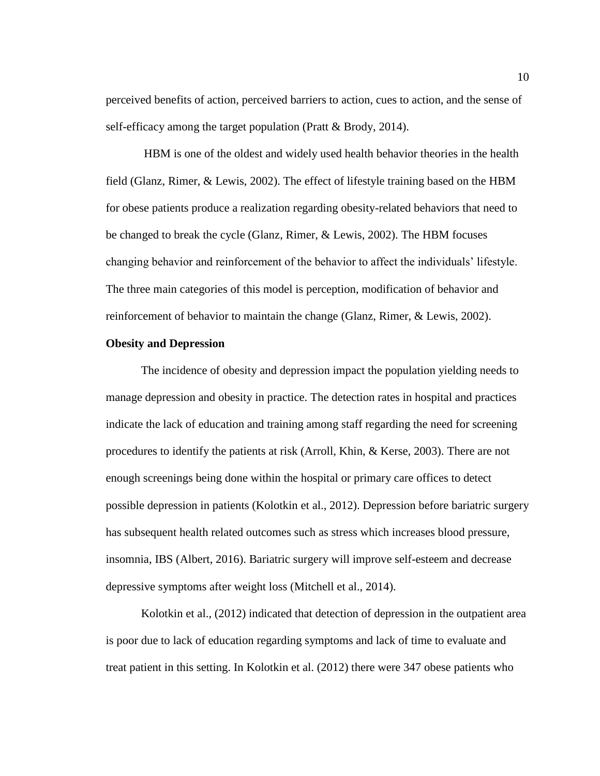perceived benefits of action, perceived barriers to action, cues to action, and the sense of self-efficacy among the target population (Pratt & Brody, 2014).

HBM is one of the oldest and widely used health behavior theories in the health field (Glanz, Rimer, & Lewis, 2002). The effect of lifestyle training based on the HBM for obese patients produce a realization regarding obesity-related behaviors that need to be changed to break the cycle (Glanz, Rimer, & Lewis, 2002). The HBM focuses changing behavior and reinforcement of the behavior to affect the individuals' lifestyle. The three main categories of this model is perception, modification of behavior and reinforcement of behavior to maintain the change (Glanz, Rimer, & Lewis, 2002).

#### <span id="page-19-0"></span>**Obesity and Depression**

The incidence of obesity and depression impact the population yielding needs to manage depression and obesity in practice. The detection rates in hospital and practices indicate the lack of education and training among staff regarding the need for screening procedures to identify the patients at risk (Arroll, Khin, & Kerse, 2003). There are not enough screenings being done within the hospital or primary care offices to detect possible depression in patients (Kolotkin et al., 2012). Depression before bariatric surgery has subsequent health related outcomes such as stress which increases blood pressure, insomnia, IBS (Albert, 2016). Bariatric surgery will improve self-esteem and decrease depressive symptoms after weight loss (Mitchell et al., 2014).

Kolotkin et al., (2012) indicated that detection of depression in the outpatient area is poor due to lack of education regarding symptoms and lack of time to evaluate and treat patient in this setting. In Kolotkin et al. (2012) there were 347 obese patients who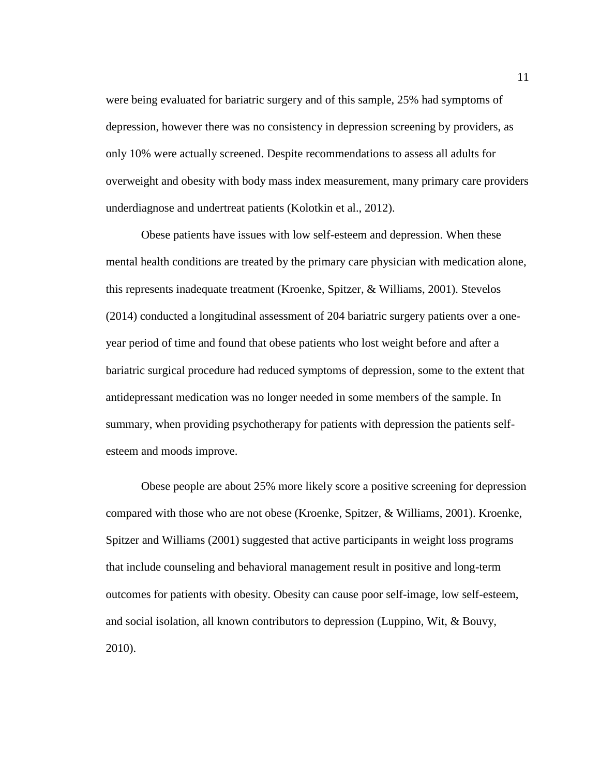were being evaluated for bariatric surgery and of this sample, 25% had symptoms of depression, however there was no consistency in depression screening by providers, as only 10% were actually screened. Despite recommendations to assess all adults for overweight and obesity with body mass index measurement, many primary care providers underdiagnose and undertreat patients (Kolotkin et al., 2012).

Obese patients have issues with low self-esteem and depression. When these mental health conditions are treated by the primary care physician with medication alone, this represents inadequate treatment (Kroenke, Spitzer, & Williams, 2001). Stevelos (2014) conducted a longitudinal assessment of 204 bariatric surgery patients over a oneyear period of time and found that obese patients who lost weight before and after a bariatric surgical procedure had reduced symptoms of depression, some to the extent that antidepressant medication was no longer needed in some members of the sample. In summary, when providing psychotherapy for patients with depression the patients selfesteem and moods improve.

Obese people are about 25% more likely score a positive screening for depression compared with those who are not obese (Kroenke, Spitzer, & Williams, 2001). Kroenke, Spitzer and Williams (2001) suggested that active participants in weight loss programs that include counseling and behavioral management result in positive and long-term outcomes for patients with obesity. Obesity can cause poor self-image, low self-esteem, and social isolation, all known contributors to depression (Luppino, Wit, & Bouvy, 2010).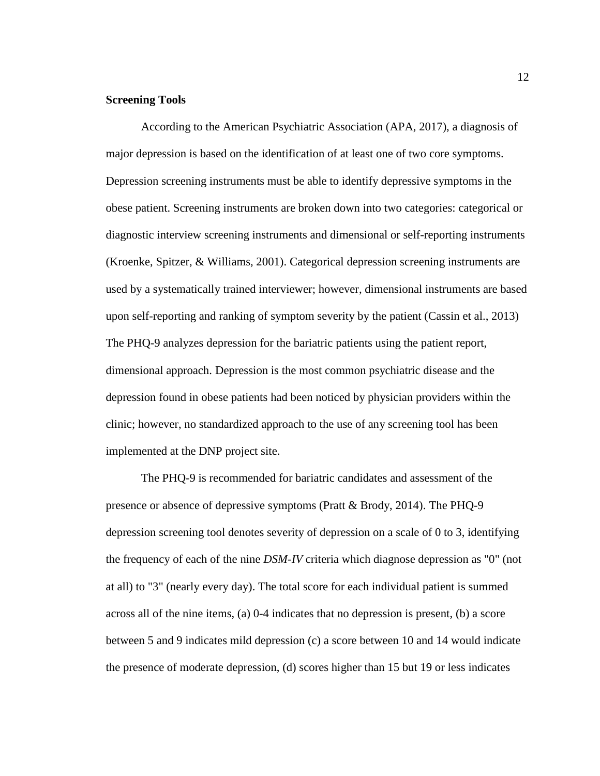#### <span id="page-21-0"></span>**Screening Tools**

According to the American Psychiatric Association (APA, 2017), a diagnosis of major depression is based on the identification of at least one of two core symptoms. Depression screening instruments must be able to identify depressive symptoms in the obese patient. Screening instruments are broken down into two categories: categorical or diagnostic interview screening instruments and dimensional or self-reporting instruments (Kroenke, Spitzer, & Williams, 2001). Categorical depression screening instruments are used by a systematically trained interviewer; however, dimensional instruments are based upon self-reporting and ranking of symptom severity by the patient (Cassin et al., 2013) The PHQ-9 analyzes depression for the bariatric patients using the patient report, dimensional approach. Depression is the most common psychiatric disease and the depression found in obese patients had been noticed by physician providers within the clinic; however, no standardized approach to the use of any screening tool has been implemented at the DNP project site.

The PHQ-9 is recommended for bariatric candidates and assessment of the presence or absence of depressive symptoms (Pratt & Brody, 2014). The PHQ-9 depression screening tool denotes severity of depression on a scale of 0 to 3, identifying the frequency of each of the nine *DSM-IV* criteria which diagnose depression as "0" (not at all) to "3" (nearly every day). The total score for each individual patient is summed across all of the nine items, (a) 0-4 indicates that no depression is present, (b) a score between 5 and 9 indicates mild depression (c) a score between 10 and 14 would indicate the presence of moderate depression, (d) scores higher than 15 but 19 or less indicates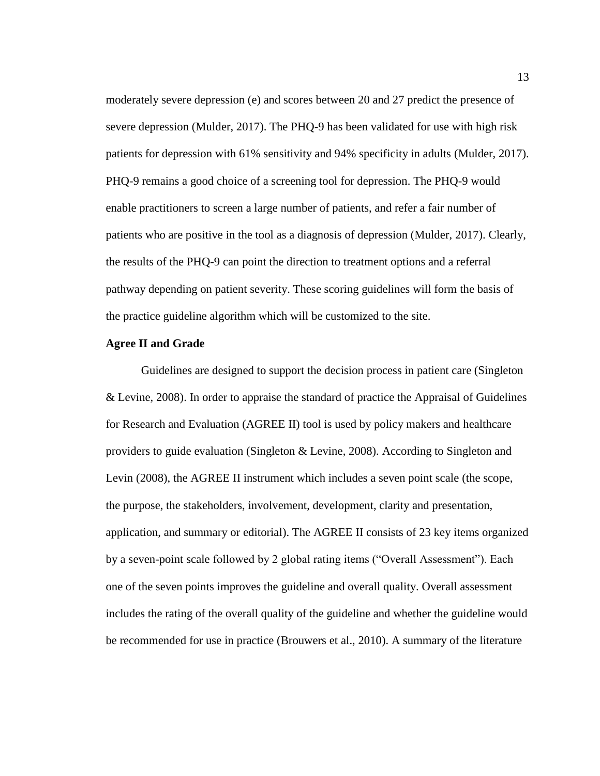moderately severe depression (e) and scores between 20 and 27 predict the presence of severe depression (Mulder, 2017). The PHQ-9 has been validated for use with high risk patients for depression with 61% sensitivity and 94% specificity in adults (Mulder, 2017). PHQ-9 remains a good choice of a screening tool for depression. The PHQ-9 would enable practitioners to screen a large number of patients, and refer a fair number of patients who are positive in the tool as a diagnosis of depression (Mulder, 2017). Clearly, the results of the PHQ-9 can point the direction to treatment options and a referral pathway depending on patient severity. These scoring guidelines will form the basis of the practice guideline algorithm which will be customized to the site.

#### <span id="page-22-0"></span>**Agree II and Grade**

Guidelines are designed to support the decision process in patient care (Singleton & Levine, 2008). In order to appraise the standard of practice the Appraisal of Guidelines for Research and Evaluation (AGREE II) tool is used by policy makers and healthcare providers to guide evaluation (Singleton & Levine, 2008). According to Singleton and Levin (2008), the AGREE II instrument which includes a seven point scale (the scope, the purpose, the stakeholders, involvement, development, clarity and presentation, application, and summary or editorial). The AGREE II consists of 23 key items organized by a seven-point scale followed by 2 global rating items ("Overall Assessment"). Each one of the seven points improves the guideline and overall quality. Overall assessment includes the rating of the overall quality of the guideline and whether the guideline would be recommended for use in practice (Brouwers et al., 2010). A summary of the literature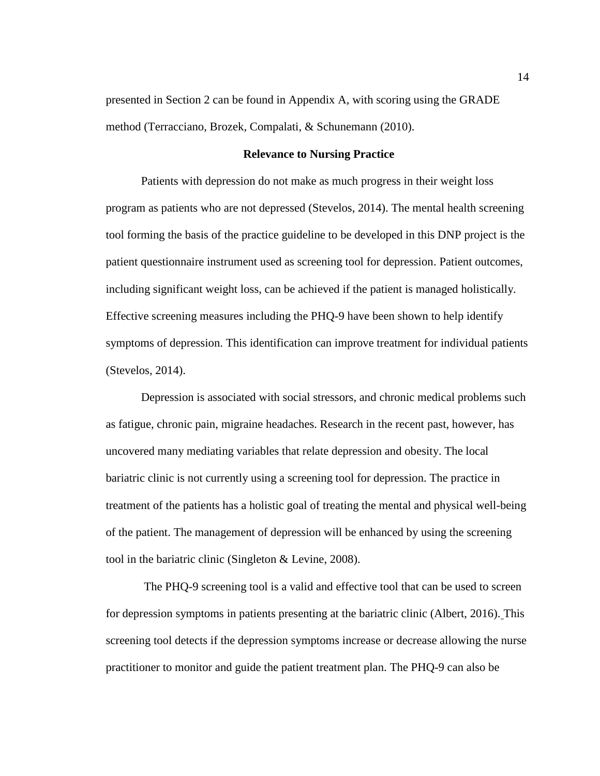presented in Section 2 can be found in Appendix A, with scoring using the GRADE method (Terracciano, Brozek, Compalati, & Schunemann (2010).

#### <span id="page-23-0"></span>**Relevance to Nursing Practice**

Patients with depression do not make as much progress in their weight loss program as patients who are not depressed (Stevelos, 2014). The mental health screening tool forming the basis of the practice guideline to be developed in this DNP project is the patient questionnaire instrument used as screening tool for depression. Patient outcomes, including significant weight loss, can be achieved if the patient is managed holistically. Effective screening measures including the PHQ-9 have been shown to help identify symptoms of depression. This identification can improve treatment for individual patients (Stevelos, 2014).

Depression is associated with social stressors, and chronic medical problems such as fatigue, chronic pain, migraine headaches. Research in the recent past, however, has uncovered many mediating variables that relate depression and obesity. The local bariatric clinic is not currently using a screening tool for depression. The practice in treatment of the patients has a holistic goal of treating the mental and physical well-being of the patient. The management of depression will be enhanced by using the screening tool in the bariatric clinic (Singleton & Levine, 2008).

The PHQ-9 screening tool is a valid and effective tool that can be used to screen for depression symptoms in patients presenting at the bariatric clinic (Albert, 2016). This screening tool detects if the depression symptoms increase or decrease allowing the nurse practitioner to monitor and guide the patient treatment plan. The PHQ-9 can also be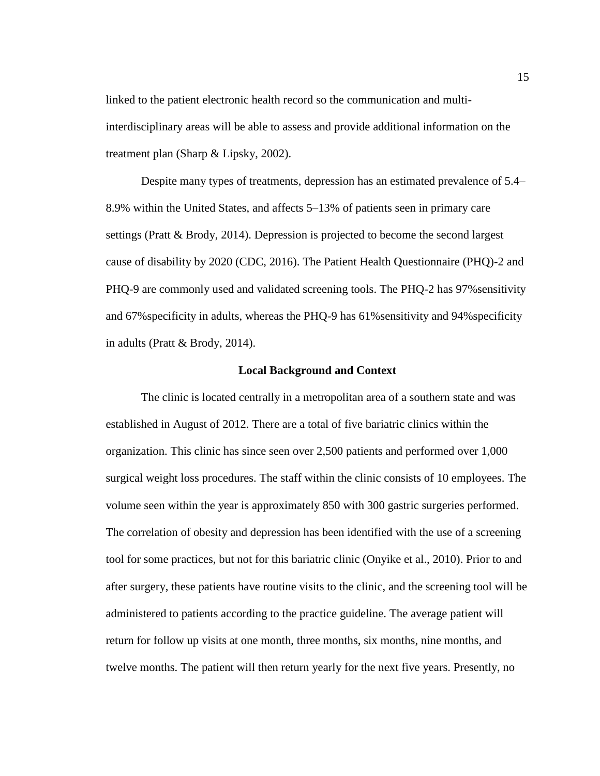linked to the patient electronic health record so the communication and multiinterdisciplinary areas will be able to assess and provide additional information on the treatment plan (Sharp & Lipsky, 2002).

Despite many types of treatments, depression has an estimated prevalence of 5.4– 8.9% within the United States, and affects 5–13% of patients seen in primary care settings (Pratt & Brody, 2014). Depression is projected to become the second largest cause of disability by 2020 (CDC, 2016). The Patient Health Questionnaire (PHQ)-2 and PHQ-9 are commonly used and validated screening tools. The PHQ-2 has 97%sensitivity and 67%specificity in adults, whereas the PHQ-9 has 61%sensitivity and 94%specificity in adults (Pratt & Brody, 2014).

#### **Local Background and Context**

<span id="page-24-0"></span>The clinic is located centrally in a metropolitan area of a southern state and was established in August of 2012. There are a total of five bariatric clinics within the organization. This clinic has since seen over 2,500 patients and performed over 1,000 surgical weight loss procedures. The staff within the clinic consists of 10 employees. The volume seen within the year is approximately 850 with 300 gastric surgeries performed. The correlation of obesity and depression has been identified with the use of a screening tool for some practices, but not for this bariatric clinic (Onyike et al., 2010). Prior to and after surgery, these patients have routine visits to the clinic, and the screening tool will be administered to patients according to the practice guideline. The average patient will return for follow up visits at one month, three months, six months, nine months, and twelve months. The patient will then return yearly for the next five years. Presently, no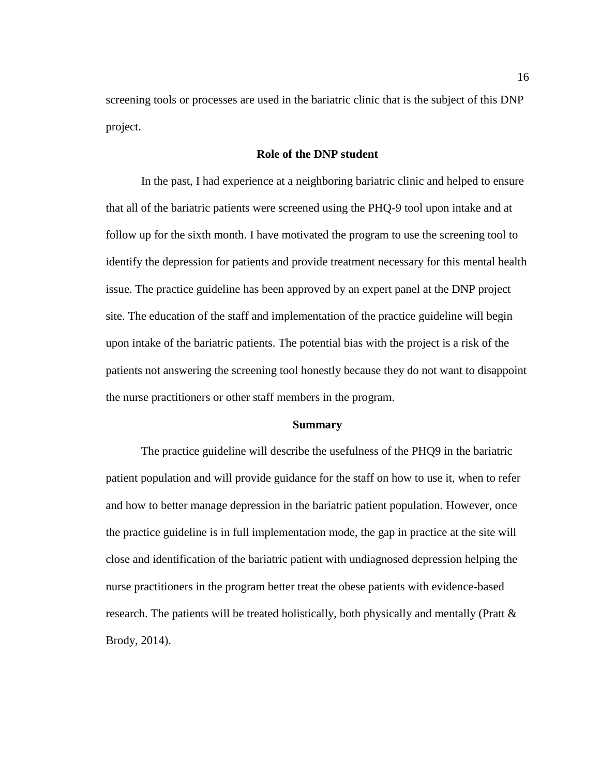screening tools or processes are used in the bariatric clinic that is the subject of this DNP project.

#### **Role of the DNP student**

<span id="page-25-0"></span>In the past, I had experience at a neighboring bariatric clinic and helped to ensure that all of the bariatric patients were screened using the PHQ-9 tool upon intake and at follow up for the sixth month. I have motivated the program to use the screening tool to identify the depression for patients and provide treatment necessary for this mental health issue. The practice guideline has been approved by an expert panel at the DNP project site. The education of the staff and implementation of the practice guideline will begin upon intake of the bariatric patients. The potential bias with the project is a risk of the patients not answering the screening tool honestly because they do not want to disappoint the nurse practitioners or other staff members in the program.

#### **Summary**

<span id="page-25-1"></span>The practice guideline will describe the usefulness of the PHQ9 in the bariatric patient population and will provide guidance for the staff on how to use it, when to refer and how to better manage depression in the bariatric patient population. However, once the practice guideline is in full implementation mode, the gap in practice at the site will close and identification of the bariatric patient with undiagnosed depression helping the nurse practitioners in the program better treat the obese patients with evidence-based research. The patients will be treated holistically, both physically and mentally (Pratt & Brody, 2014).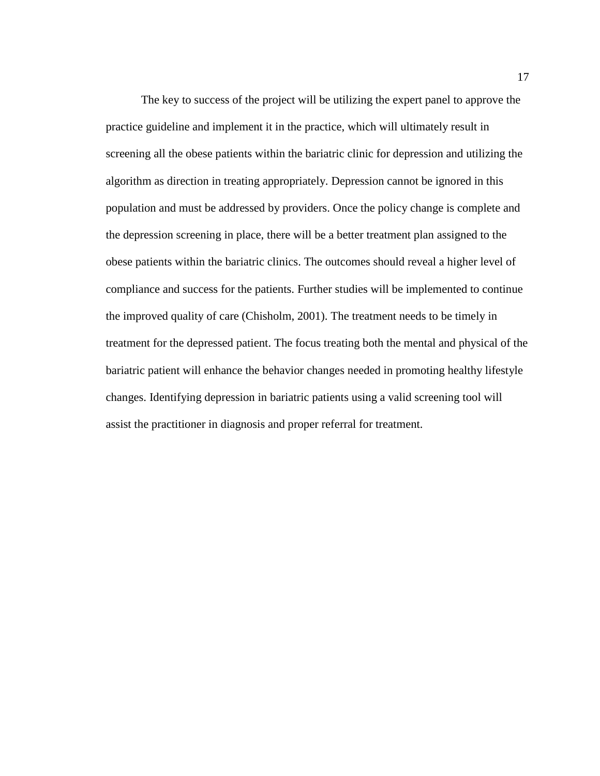The key to success of the project will be utilizing the expert panel to approve the practice guideline and implement it in the practice, which will ultimately result in screening all the obese patients within the bariatric clinic for depression and utilizing the algorithm as direction in treating appropriately. Depression cannot be ignored in this population and must be addressed by providers. Once the policy change is complete and the depression screening in place, there will be a better treatment plan assigned to the obese patients within the bariatric clinics. The outcomes should reveal a higher level of compliance and success for the patients. Further studies will be implemented to continue the improved quality of care (Chisholm, 2001). The treatment needs to be timely in treatment for the depressed patient. The focus treating both the mental and physical of the bariatric patient will enhance the behavior changes needed in promoting healthy lifestyle changes. Identifying depression in bariatric patients using a valid screening tool will assist the practitioner in diagnosis and proper referral for treatment.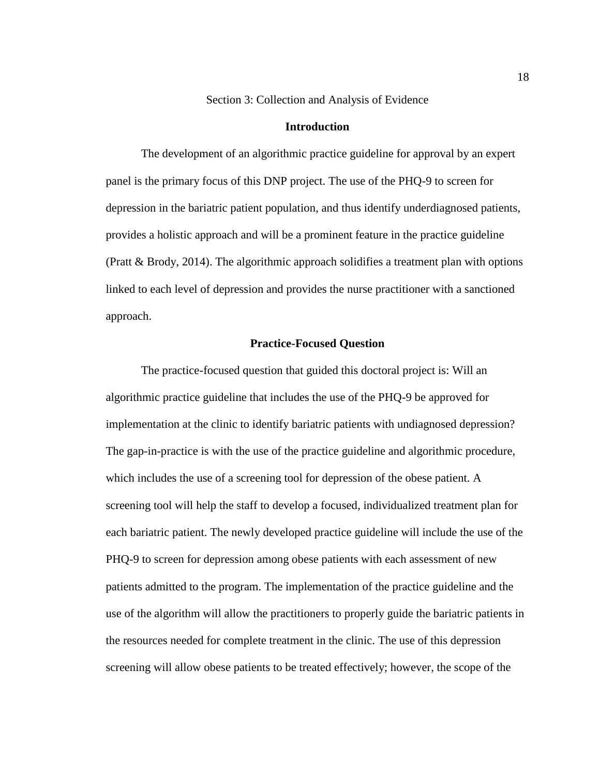Section 3: Collection and Analysis of Evidence

#### **Introduction**

<span id="page-27-1"></span><span id="page-27-0"></span>The development of an algorithmic practice guideline for approval by an expert panel is the primary focus of this DNP project. The use of the PHQ-9 to screen for depression in the bariatric patient population, and thus identify underdiagnosed patients, provides a holistic approach and will be a prominent feature in the practice guideline (Pratt & Brody, 2014). The algorithmic approach solidifies a treatment plan with options linked to each level of depression and provides the nurse practitioner with a sanctioned approach.

#### **Practice-Focused Question**

<span id="page-27-2"></span>The practice-focused question that guided this doctoral project is: Will an algorithmic practice guideline that includes the use of the PHQ-9 be approved for implementation at the clinic to identify bariatric patients with undiagnosed depression? The gap-in-practice is with the use of the practice guideline and algorithmic procedure, which includes the use of a screening tool for depression of the obese patient. A screening tool will help the staff to develop a focused, individualized treatment plan for each bariatric patient. The newly developed practice guideline will include the use of the PHQ-9 to screen for depression among obese patients with each assessment of new patients admitted to the program. The implementation of the practice guideline and the use of the algorithm will allow the practitioners to properly guide the bariatric patients in the resources needed for complete treatment in the clinic. The use of this depression screening will allow obese patients to be treated effectively; however, the scope of the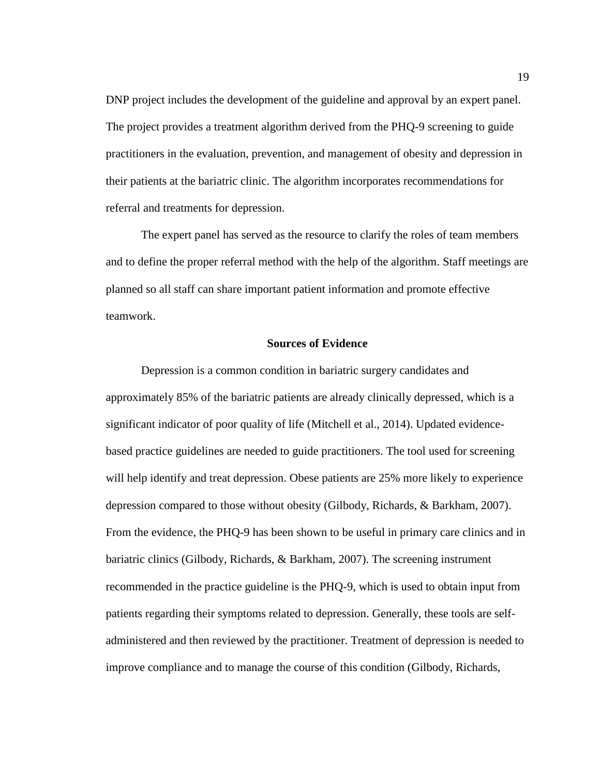DNP project includes the development of the guideline and approval by an expert panel. The project provides a treatment algorithm derived from the PHQ-9 screening to guide practitioners in the evaluation, prevention, and management of obesity and depression in their patients at the bariatric clinic. The algorithm incorporates recommendations for referral and treatments for depression.

The expert panel has served as the resource to clarify the roles of team members and to define the proper referral method with the help of the algorithm. Staff meetings are planned so all staff can share important patient information and promote effective teamwork.

#### **Sources of Evidence**

<span id="page-28-0"></span>Depression is a common condition in bariatric surgery candidates and approximately 85% of the bariatric patients are already clinically depressed, which is a significant indicator of poor quality of life (Mitchell et al., 2014). Updated evidencebased practice guidelines are needed to guide practitioners. The tool used for screening will help identify and treat depression. Obese patients are 25% more likely to experience depression compared to those without obesity (Gilbody, Richards, & Barkham, 2007). From the evidence, the PHQ-9 has been shown to be useful in primary care clinics and in bariatric clinics (Gilbody, Richards, & Barkham, 2007). The screening instrument recommended in the practice guideline is the PHQ-9, which is used to obtain input from patients regarding their symptoms related to depression. Generally, these tools are selfadministered and then reviewed by the practitioner. Treatment of depression is needed to improve compliance and to manage the course of this condition (Gilbody, Richards,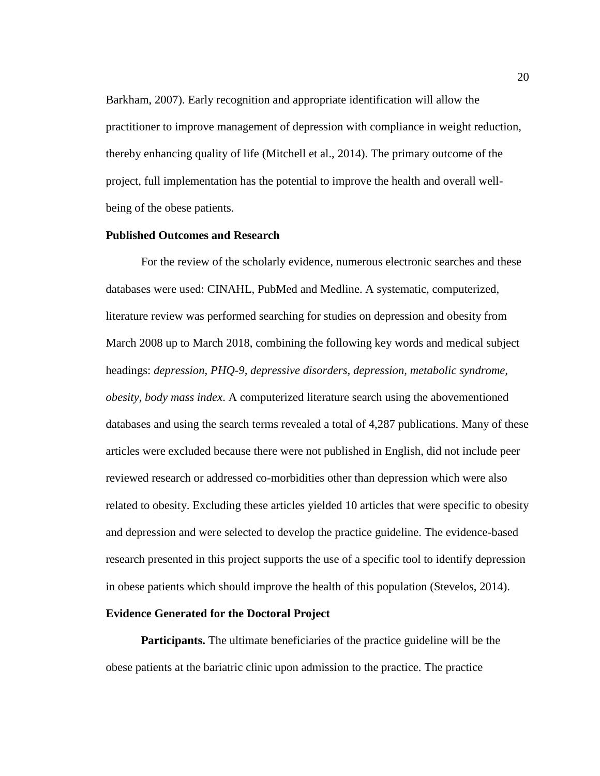Barkham, 2007). Early recognition and appropriate identification will allow the practitioner to improve management of depression with compliance in weight reduction, thereby enhancing quality of life (Mitchell et al., 2014). The primary outcome of the project, full implementation has the potential to improve the health and overall wellbeing of the obese patients.

#### <span id="page-29-0"></span>**Published Outcomes and Research**

For the review of the scholarly evidence, numerous electronic searches and these databases were used: CINAHL, PubMed and Medline. A systematic, computerized, literature review was performed searching for studies on depression and obesity from March 2008 up to March 2018, combining the following key words and medical subject headings: *depression, PHQ-9, depressive disorders, depression, metabolic syndrome, obesity, body mass index*. A computerized literature search using the abovementioned databases and using the search terms revealed a total of 4,287 publications. Many of these articles were excluded because there were not published in English, did not include peer reviewed research or addressed co-morbidities other than depression which were also related to obesity. Excluding these articles yielded 10 articles that were specific to obesity and depression and were selected to develop the practice guideline. The evidence-based research presented in this project supports the use of a specific tool to identify depression in obese patients which should improve the health of this population (Stevelos, 2014).

#### <span id="page-29-1"></span>**Evidence Generated for the Doctoral Project**

**Participants.** The ultimate beneficiaries of the practice guideline will be the obese patients at the bariatric clinic upon admission to the practice. The practice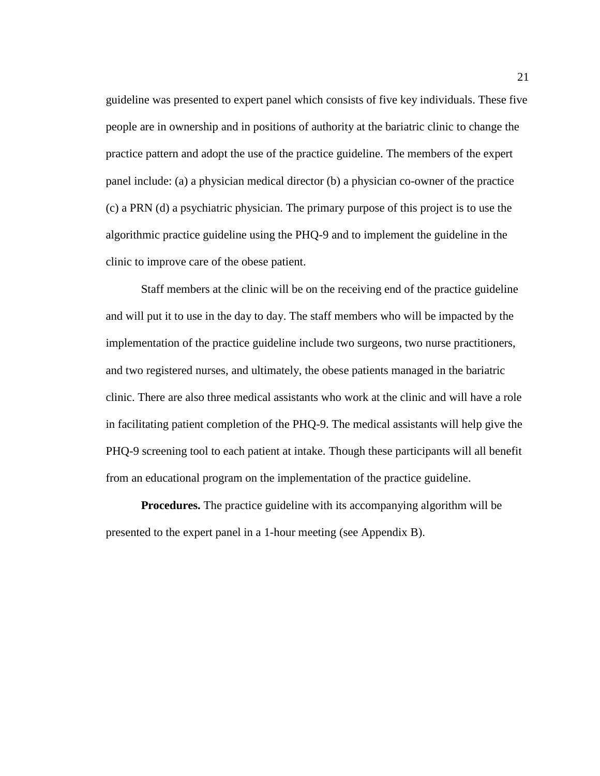guideline was presented to expert panel which consists of five key individuals. These five people are in ownership and in positions of authority at the bariatric clinic to change the practice pattern and adopt the use of the practice guideline. The members of the expert panel include: (a) a physician medical director (b) a physician co-owner of the practice (c) a PRN (d) a psychiatric physician. The primary purpose of this project is to use the algorithmic practice guideline using the PHQ-9 and to implement the guideline in the clinic to improve care of the obese patient.

Staff members at the clinic will be on the receiving end of the practice guideline and will put it to use in the day to day. The staff members who will be impacted by the implementation of the practice guideline include two surgeons, two nurse practitioners, and two registered nurses, and ultimately, the obese patients managed in the bariatric clinic. There are also three medical assistants who work at the clinic and will have a role in facilitating patient completion of the PHQ-9. The medical assistants will help give the PHQ-9 screening tool to each patient at intake. Though these participants will all benefit from an educational program on the implementation of the practice guideline.

**Procedures.** The practice guideline with its accompanying algorithm will be presented to the expert panel in a 1-hour meeting (see Appendix B).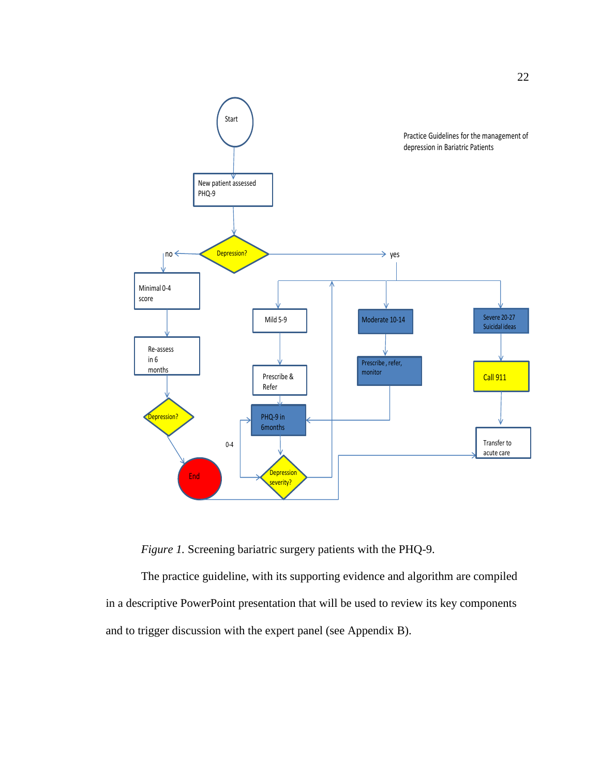

*Figure 1.* Screening bariatric surgery patients with the PHQ-9.

The practice guideline, with its supporting evidence and algorithm are compiled in a descriptive PowerPoint presentation that will be used to review its key components and to trigger discussion with the expert panel (see Appendix B).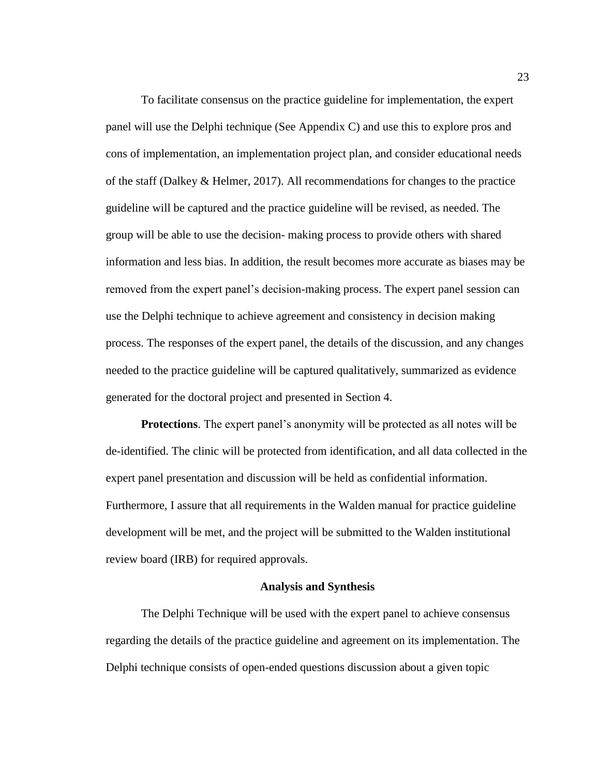To facilitate consensus on the practice guideline for implementation, the expert panel will use the Delphi technique (See Appendix C) and use this to explore pros and cons of implementation, an implementation project plan, and consider educational needs of the staff (Dalkey & Helmer, 2017). All recommendations for changes to the practice guideline will be captured and the practice guideline will be revised, as needed. The group will be able to use the decision- making process to provide others with shared information and less bias. In addition, the result becomes more accurate as biases may be removed from the expert panel's decision-making process. The expert panel session can use the Delphi technique to achieve agreement and consistency in decision making process. The responses of the expert panel, the details of the discussion, and any changes needed to the practice guideline will be captured qualitatively, summarized as evidence generated for the doctoral project and presented in Section 4.

**Protections**. The expert panel's anonymity will be protected as all notes will be de-identified. The clinic will be protected from identification, and all data collected in the expert panel presentation and discussion will be held as confidential information. Furthermore, I assure that all requirements in the Walden manual for practice guideline development will be met, and the project will be submitted to the Walden institutional review board (IRB) for required approvals.

#### **Analysis and Synthesis**

<span id="page-32-0"></span>The Delphi Technique will be used with the expert panel to achieve consensus regarding the details of the practice guideline and agreement on its implementation. The Delphi technique consists of open-ended questions discussion about a given topic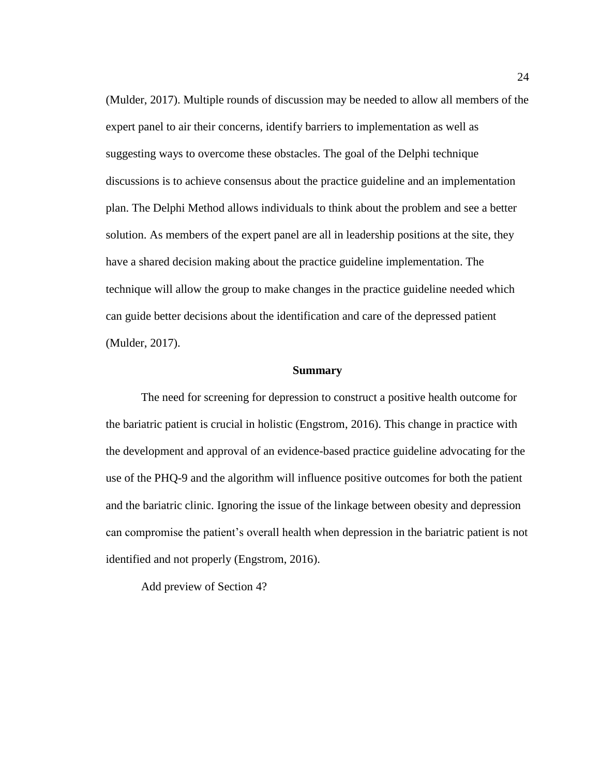(Mulder, 2017). Multiple rounds of discussion may be needed to allow all members of the expert panel to air their concerns, identify barriers to implementation as well as suggesting ways to overcome these obstacles. The goal of the Delphi technique discussions is to achieve consensus about the practice guideline and an implementation plan. The Delphi Method allows individuals to think about the problem and see a better solution. As members of the expert panel are all in leadership positions at the site, they have a shared decision making about the practice guideline implementation. The technique will allow the group to make changes in the practice guideline needed which can guide better decisions about the identification and care of the depressed patient (Mulder, 2017).

#### **Summary**

<span id="page-33-0"></span>The need for screening for depression to construct a positive health outcome for the bariatric patient is crucial in holistic (Engstrom, 2016). This change in practice with the development and approval of an evidence-based practice guideline advocating for the use of the PHQ-9 and the algorithm will influence positive outcomes for both the patient and the bariatric clinic. Ignoring the issue of the linkage between obesity and depression can compromise the patient's overall health when depression in the bariatric patient is not identified and not properly (Engstrom, 2016).

Add preview of Section 4?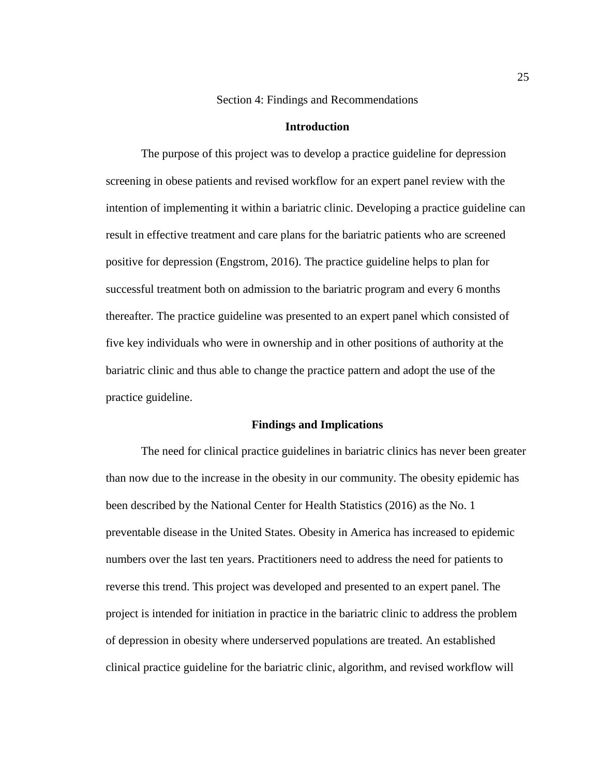Section 4: Findings and Recommendations

#### **Introduction**

<span id="page-34-1"></span><span id="page-34-0"></span>The purpose of this project was to develop a practice guideline for depression screening in obese patients and revised workflow for an expert panel review with the intention of implementing it within a bariatric clinic. Developing a practice guideline can result in effective treatment and care plans for the bariatric patients who are screened positive for depression (Engstrom, 2016). The practice guideline helps to plan for successful treatment both on admission to the bariatric program and every 6 months thereafter. The practice guideline was presented to an expert panel which consisted of five key individuals who were in ownership and in other positions of authority at the bariatric clinic and thus able to change the practice pattern and adopt the use of the practice guideline.

#### **Findings and Implications**

<span id="page-34-2"></span>The need for clinical practice guidelines in bariatric clinics has never been greater than now due to the increase in the obesity in our community. The obesity epidemic has been described by the National Center for Health Statistics (2016) as the No. 1 preventable disease in the United States. Obesity in America has increased to epidemic numbers over the last ten years. Practitioners need to address the need for patients to reverse this trend. This project was developed and presented to an expert panel. The project is intended for initiation in practice in the bariatric clinic to address the problem of depression in obesity where underserved populations are treated. An established clinical practice guideline for the bariatric clinic, algorithm, and revised workflow will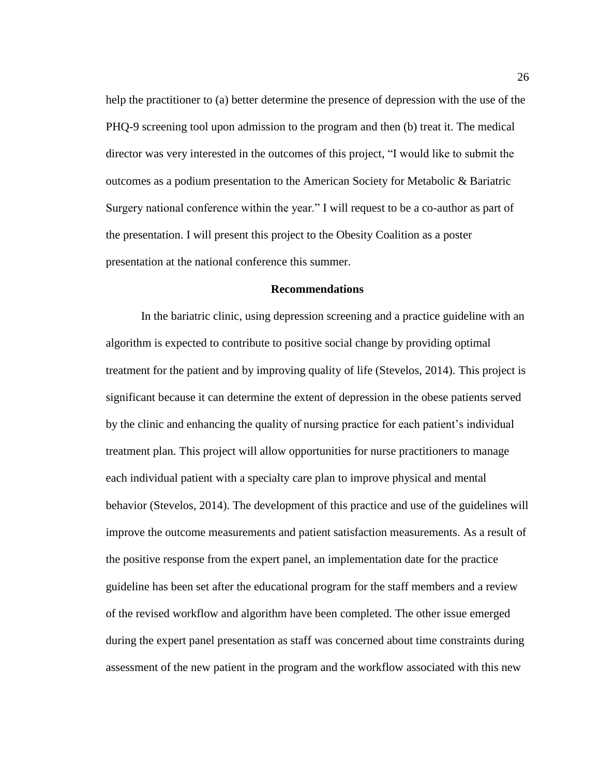help the practitioner to (a) better determine the presence of depression with the use of the PHQ-9 screening tool upon admission to the program and then (b) treat it. The medical director was very interested in the outcomes of this project, "I would like to submit the outcomes as a podium presentation to the American Society for Metabolic & Bariatric Surgery national conference within the year." I will request to be a co-author as part of the presentation. I will present this project to the Obesity Coalition as a poster presentation at the national conference this summer.

#### **Recommendations**

<span id="page-35-0"></span>In the bariatric clinic, using depression screening and a practice guideline with an algorithm is expected to contribute to positive social change by providing optimal treatment for the patient and by improving quality of life (Stevelos, 2014). This project is significant because it can determine the extent of depression in the obese patients served by the clinic and enhancing the quality of nursing practice for each patient's individual treatment plan. This project will allow opportunities for nurse practitioners to manage each individual patient with a specialty care plan to improve physical and mental behavior (Stevelos, 2014). The development of this practice and use of the guidelines will improve the outcome measurements and patient satisfaction measurements. As a result of the positive response from the expert panel, an implementation date for the practice guideline has been set after the educational program for the staff members and a review of the revised workflow and algorithm have been completed. The other issue emerged during the expert panel presentation as staff was concerned about time constraints during assessment of the new patient in the program and the workflow associated with this new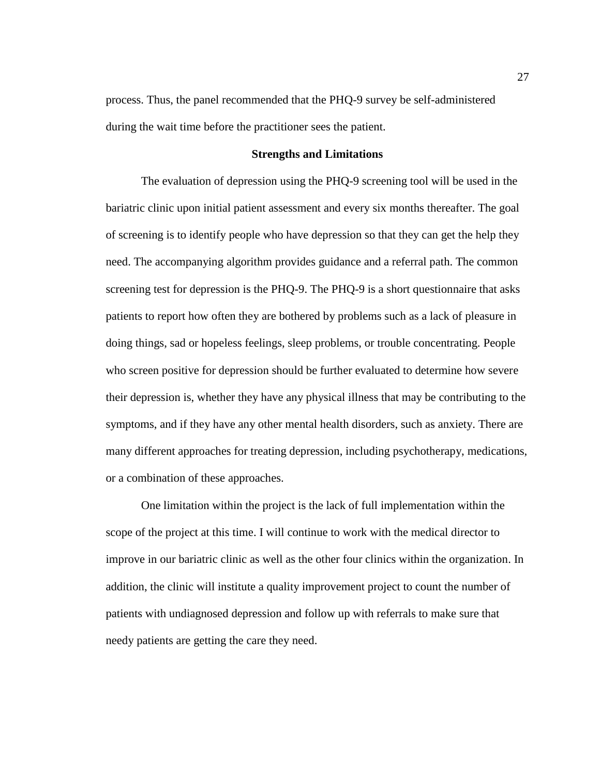process. Thus, the panel recommended that the PHQ-9 survey be self-administered during the wait time before the practitioner sees the patient.

#### **Strengths and Limitations**

<span id="page-36-0"></span>The evaluation of depression using the PHQ-9 screening tool will be used in the bariatric clinic upon initial patient assessment and every six months thereafter. The goal of screening is to identify people who have depression so that they can get the help they need. The accompanying algorithm provides guidance and a referral path. The common screening test for depression is the PHQ-9. The PHQ-9 is a short questionnaire that asks patients to report how often they are bothered by problems such as a lack of pleasure in doing things, sad or hopeless feelings, sleep problems, or trouble concentrating. People who screen positive for depression should be further evaluated to determine how severe their depression is, whether they have any physical illness that may be contributing to the symptoms, and if they have any other mental health disorders, such as anxiety. There are many different approaches for treating depression, including psychotherapy, medications, or a combination of these approaches.

<span id="page-36-1"></span>One limitation within the project is the lack of full implementation within the scope of the project at this time. I will continue to work with the medical director to improve in our bariatric clinic as well as the other four clinics within the organization. In addition, the clinic will institute a quality improvement project to count the number of patients with undiagnosed depression and follow up with referrals to make sure that needy patients are getting the care they need.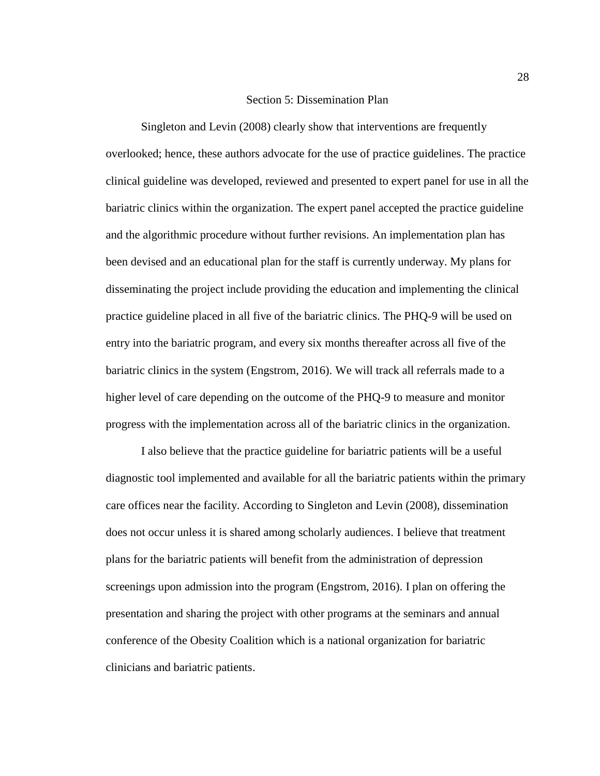#### Section 5: Dissemination Plan

Singleton and Levin (2008) clearly show that interventions are frequently overlooked; hence, these authors advocate for the use of practice guidelines. The practice clinical guideline was developed, reviewed and presented to expert panel for use in all the bariatric clinics within the organization. The expert panel accepted the practice guideline and the algorithmic procedure without further revisions. An implementation plan has been devised and an educational plan for the staff is currently underway. My plans for disseminating the project include providing the education and implementing the clinical practice guideline placed in all five of the bariatric clinics. The PHQ-9 will be used on entry into the bariatric program, and every six months thereafter across all five of the bariatric clinics in the system (Engstrom, 2016). We will track all referrals made to a higher level of care depending on the outcome of the PHQ-9 to measure and monitor progress with the implementation across all of the bariatric clinics in the organization.

I also believe that the practice guideline for bariatric patients will be a useful diagnostic tool implemented and available for all the bariatric patients within the primary care offices near the facility. According to Singleton and Levin (2008), dissemination does not occur unless it is shared among scholarly audiences. I believe that treatment plans for the bariatric patients will benefit from the administration of depression screenings upon admission into the program (Engstrom, 2016). I plan on offering the presentation and sharing the project with other programs at the seminars and annual conference of the Obesity Coalition which is a national organization for bariatric clinicians and bariatric patients.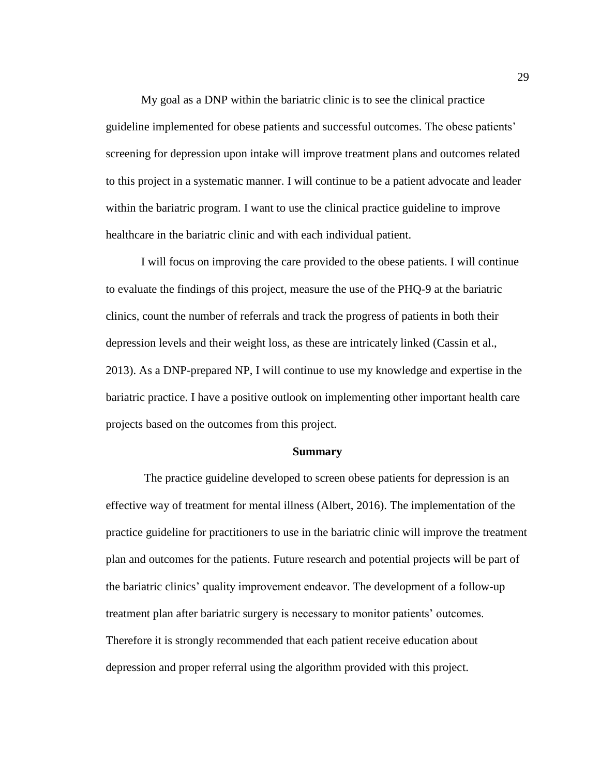My goal as a DNP within the bariatric clinic is to see the clinical practice guideline implemented for obese patients and successful outcomes. The obese patients' screening for depression upon intake will improve treatment plans and outcomes related to this project in a systematic manner. I will continue to be a patient advocate and leader within the bariatric program. I want to use the clinical practice guideline to improve healthcare in the bariatric clinic and with each individual patient.

I will focus on improving the care provided to the obese patients. I will continue to evaluate the findings of this project, measure the use of the PHQ-9 at the bariatric clinics, count the number of referrals and track the progress of patients in both their depression levels and their weight loss, as these are intricately linked (Cassin et al., 2013). As a DNP-prepared NP, I will continue to use my knowledge and expertise in the bariatric practice. I have a positive outlook on implementing other important health care projects based on the outcomes from this project.

#### **Summary**

<span id="page-38-0"></span>The practice guideline developed to screen obese patients for depression is an effective way of treatment for mental illness (Albert, 2016). The implementation of the practice guideline for practitioners to use in the bariatric clinic will improve the treatment plan and outcomes for the patients. Future research and potential projects will be part of the bariatric clinics' quality improvement endeavor. The development of a follow-up treatment plan after bariatric surgery is necessary to monitor patients' outcomes. Therefore it is strongly recommended that each patient receive education about depression and proper referral using the algorithm provided with this project.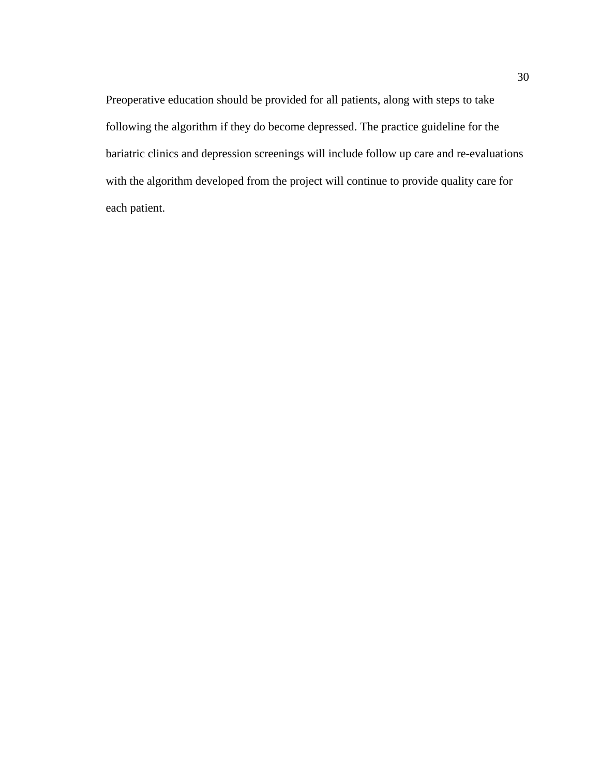Preoperative education should be provided for all patients, along with steps to take following the algorithm if they do become depressed. The practice guideline for the bariatric clinics and depression screenings will include follow up care and re-evaluations with the algorithm developed from the project will continue to provide quality care for each patient.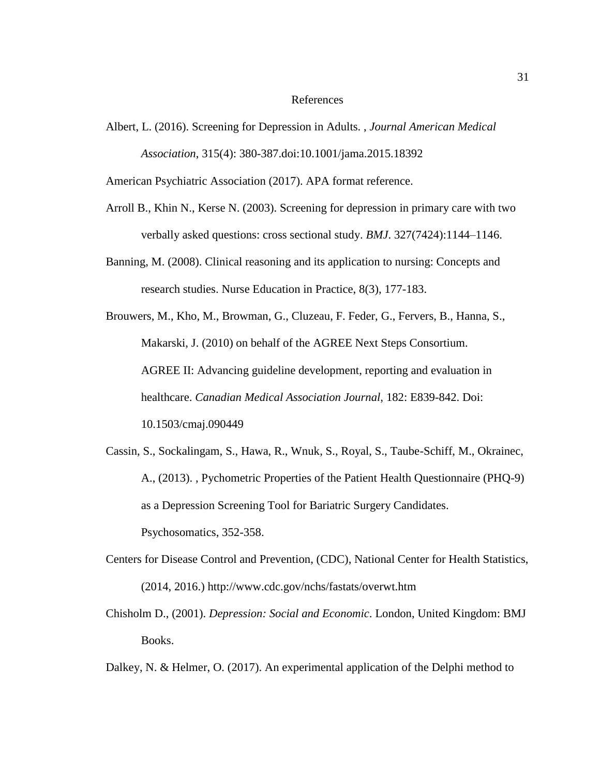#### References

<span id="page-40-0"></span>Albert, L. (2016). Screening for Depression in Adults. , *Journal American Medical Association*, 315(4): 380-387.doi:10.1001/jama.2015.18392

American Psychiatric Association (2017). APA format reference.

- Arroll B., Khin N., Kerse N. (2003). Screening for depression in primary care with two verbally asked questions: cross sectional study. *BMJ*. 327(7424):1144–1146.
- Banning, M. (2008). Clinical reasoning and its application to nursing: Concepts and research studies. Nurse Education in Practice, 8(3), 177-183.
- Brouwers, M., Kho, M., Browman, G., Cluzeau, F. Feder, G., Fervers, B., Hanna, S., Makarski, J. (2010) on behalf of the AGREE Next Steps Consortium. AGREE II: Advancing guideline development, reporting and evaluation in healthcare. *Canadian Medical Association Journal,* 182: E839-842. Doi: 10.1503/cmaj.090449
- Cassin, S., Sockalingam, S., Hawa, R., Wnuk, S., Royal, S., Taube-Schiff, M., Okrainec, A., (2013). , Pychometric Properties of the Patient Health Questionnaire (PHQ-9) as a Depression Screening Tool for Bariatric Surgery Candidates. Psychosomatics, 352-358.
- Centers for Disease Control and Prevention, (CDC), National Center for Health Statistics, (2014, 2016.) http://www.cdc.gov/nchs/fastats/overwt.htm
- Chisholm D., (2001). *Depression: Social and Economic*. London, United Kingdom: BMJ Books.
- Dalkey, N. & Helmer, O. (2017). An experimental application of the Delphi method to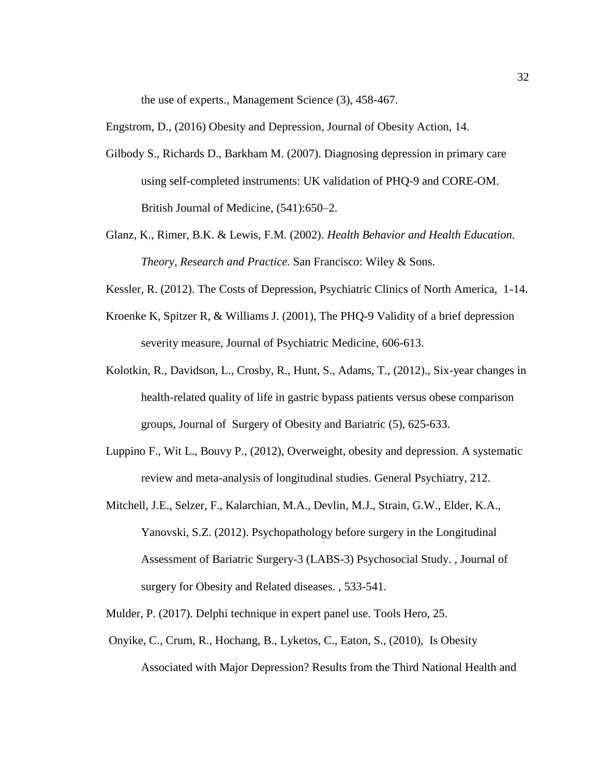the use of experts., Management Science (3), 458-467.

Engstrom, D., (2016) Obesity and Depression, Journal of Obesity Action, 14.

- Gilbody S., Richards D., Barkham M. (2007). Diagnosing depression in primary care using self-completed instruments: UK validation of PHQ-9 and CORE-OM. British Journal of Medicine, (541):650–2.
- Glanz, K., Rimer, B.K. & Lewis, F.M. (2002). *Health Behavior and Health Education. Theory, Research and Practice.* San Francisco: Wiley & Sons.
- Kessler, R. (2012). The Costs of Depression, Psychiatric Clinics of North America, 1-14.
- Kroenke K, Spitzer R, & Williams J. (2001), The PHQ-9 Validity of a brief depression severity measure, Journal of Psychiatric Medicine, 606-613.
- Kolotkin, R., Davidson, L., Crosby, R., Hunt, S., Adams, T., (2012)., Six-year changes in health-related quality of life in gastric bypass patients versus obese comparison groups, Journal of Surgery of Obesity and Bariatric (5), 625-633.
- Luppino F., Wit L., Bouvy P., (2012), Overweight, obesity and depression. A systematic review and meta-analysis of longitudinal studies. General Psychiatry, 212.
- Mitchell, J.E., Selzer, F., Kalarchian, M.A., Devlin, M.J., Strain, G.W., Elder, K.A., Yanovski, S.Z. (2012). Psychopathology before surgery in the Longitudinal Assessment of Bariatric Surgery-3 (LABS-3) Psychosocial Study. , Journal of surgery for Obesity and Related diseases. , 533-541.
- Mulder, P. (2017). Delphi technique in expert panel use. Tools Hero, 25.
- Onyike, C., Crum, R., Hochang, B., Lyketos, C., Eaton, S., (2010), Is Obesity Associated with Major Depression? Results from the Third National Health and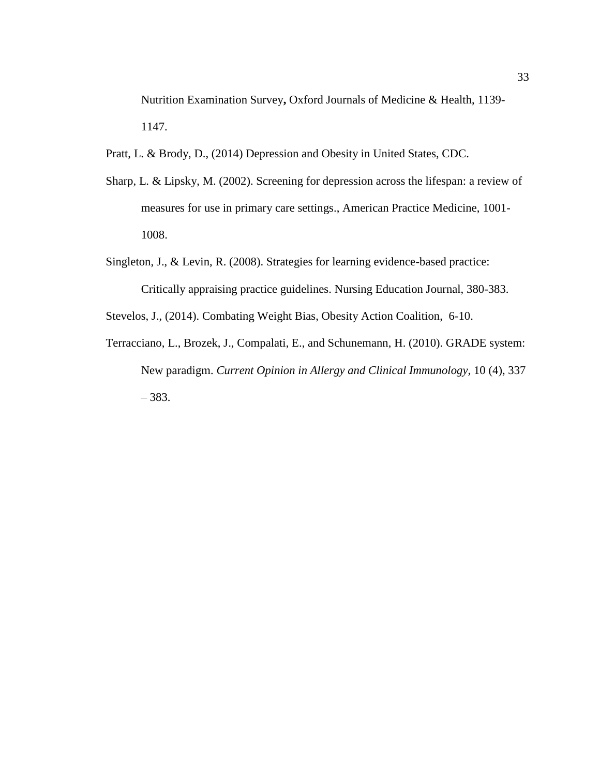Nutrition Examination Survey**,** Oxford Journals of Medicine & Health, 1139- 1147.

Pratt, L. & Brody, D., (2014) Depression and Obesity in United States, CDC.

- Sharp, L. & Lipsky, M. (2002). Screening for depression across the lifespan: a review of measures for use in primary care settings., American Practice Medicine, 1001- 1008.
- Singleton, J., & Levin, R. (2008). Strategies for learning evidence-based practice: Critically appraising practice guidelines. Nursing Education Journal, 380-383.

Stevelos, J., (2014). Combating Weight Bias, Obesity Action Coalition, 6-10.

<span id="page-42-0"></span>Terracciano, L., Brozek, J., Compalati, E., and Schunemann, H. (2010). GRADE system: New paradigm. *Current Opinion in Allergy and Clinical Immunology,* 10 (4), 337 – 383.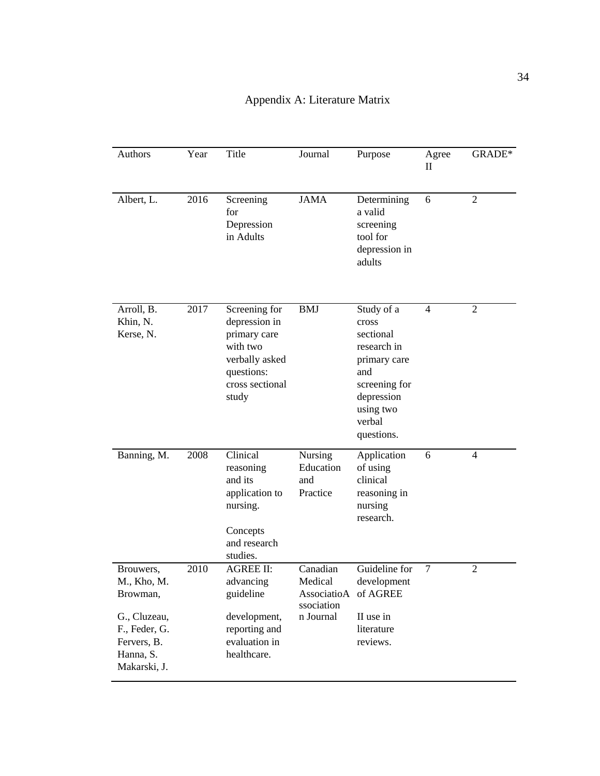| Authors                                                                                                           | Year | Title                                                                                                                  | Journal                                                                | Purpose                                                                                                                                    | Agree<br>$\mathbf{I}$ | GRADE*         |
|-------------------------------------------------------------------------------------------------------------------|------|------------------------------------------------------------------------------------------------------------------------|------------------------------------------------------------------------|--------------------------------------------------------------------------------------------------------------------------------------------|-----------------------|----------------|
| Albert, L.                                                                                                        | 2016 | Screening<br>for<br>Depression<br>in Adults                                                                            | <b>JAMA</b>                                                            | Determining<br>a valid<br>screening<br>tool for<br>depression in<br>adults                                                                 | 6                     | 2              |
| Arroll, B.<br>Khin, N.<br>Kerse, N.                                                                               | 2017 | Screening for<br>depression in<br>primary care<br>with two<br>verbally asked<br>questions:<br>cross sectional<br>study | <b>BMJ</b>                                                             | Study of a<br>cross<br>sectional<br>research in<br>primary care<br>and<br>screening for<br>depression<br>using two<br>verbal<br>questions. | $\overline{4}$        | 2              |
| Banning, M.                                                                                                       | 2008 | Clinical<br>reasoning<br>and its<br>application to<br>nursing.<br>Concepts<br>and research<br>studies.                 | <b>Nursing</b><br>Education<br>and<br>Practice                         | Application<br>of using<br>clinical<br>reasoning in<br>nursing<br>research.                                                                | 6                     | $\overline{4}$ |
| Brouwers,<br>M., Kho, M.<br>Browman,<br>G., Cluzeau,<br>F., Feder, G.<br>Fervers, B.<br>Hanna, S.<br>Makarski, J. | 2010 | <b>AGREE II:</b><br>advancing<br>guideline<br>development,<br>reporting and<br>evaluation in<br>healthcare.            | Canadian<br>Medical<br>AssociatioA of AGREE<br>ssociation<br>n Journal | Guideline for<br>development<br>II use in<br>literature<br>reviews.                                                                        | $\tau$                | $\overline{2}$ |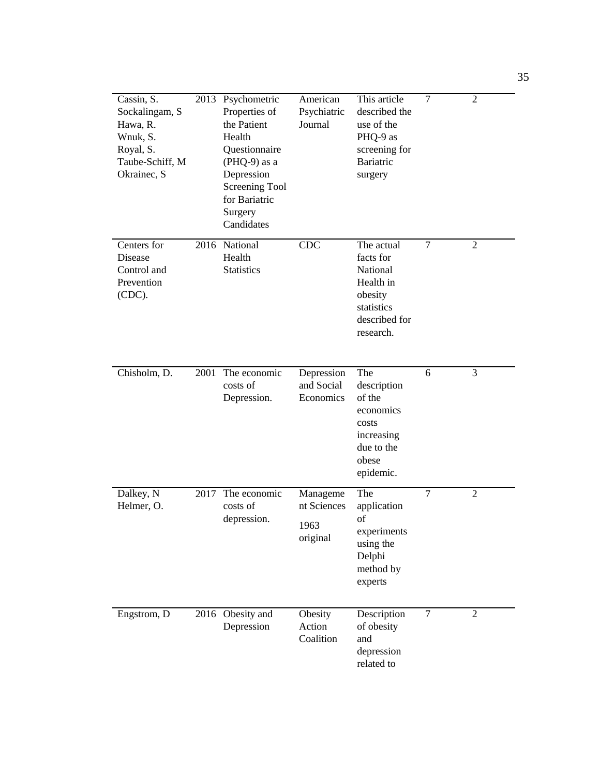| Cassin, S.<br>Sockalingam, S<br>Hawa, R.<br>Wnuk, S.<br>Royal, S.<br>Taube-Schiff, M<br>Okrainec, S |      | 2013 Psychometric<br>Properties of<br>the Patient<br>Health<br>Questionnaire<br>$(PHQ-9)$ as a<br>Depression<br>Screening Tool<br>for Bariatric<br>Surgery<br>Candidates | American<br>Psychiatric<br>Journal          | This article<br>described the<br>use of the<br>PHQ-9 as<br>screening for<br><b>Bariatric</b><br>surgery | $\overline{7}$ | $\overline{2}$ |
|-----------------------------------------------------------------------------------------------------|------|--------------------------------------------------------------------------------------------------------------------------------------------------------------------------|---------------------------------------------|---------------------------------------------------------------------------------------------------------|----------------|----------------|
| Centers for<br>Disease<br>Control and<br>Prevention<br>(CDC).                                       |      | 2016 National<br>Health<br><b>Statistics</b>                                                                                                                             | <b>CDC</b>                                  | The actual<br>facts for<br>National<br>Health in<br>obesity<br>statistics<br>described for<br>research. | 7              | $\overline{2}$ |
| Chisholm, D.                                                                                        | 2001 | The economic<br>costs of<br>Depression.                                                                                                                                  | Depression<br>and Social<br>Economics       | The<br>description<br>of the<br>economics<br>costs<br>increasing<br>due to the<br>obese<br>epidemic.    | 6              | 3              |
| Dalkey, N<br>Helmer, O.                                                                             | 2017 | The economic<br>costs of<br>depression.                                                                                                                                  | Manageme<br>nt Sciences<br>1963<br>original | The<br>application<br>of<br>experiments<br>using the<br>Delphi<br>method by<br>experts                  | $\overline{7}$ | $\overline{2}$ |
| Engstrom, D                                                                                         |      | 2016 Obesity and<br>Depression                                                                                                                                           | Obesity<br>Action<br>Coalition              | Description<br>of obesity<br>and<br>depression<br>related to                                            | $\overline{7}$ | $\overline{2}$ |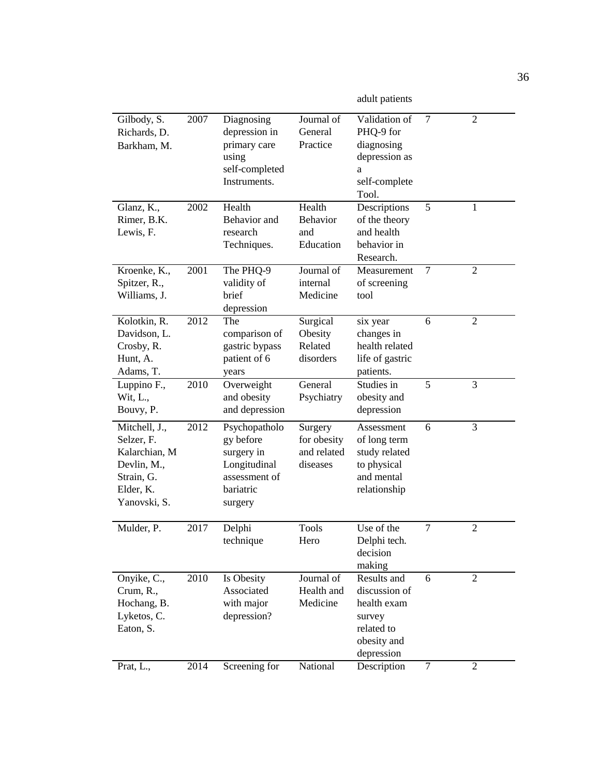adult patients

| Gilbody, S.<br>Richards, D.<br>Barkham, M.                                                             | 2007 | Diagnosing<br>depression in<br>primary care<br>using<br>self-completed<br>Instruments.            | Journal of<br>General<br>Practice                 | Validation of<br>PHQ-9 for<br>diagnosing<br>depression as<br>a<br>self-complete<br>Tool.         | $\tau$         | $\overline{2}$ |
|--------------------------------------------------------------------------------------------------------|------|---------------------------------------------------------------------------------------------------|---------------------------------------------------|--------------------------------------------------------------------------------------------------|----------------|----------------|
| Glanz, K.,<br>Rimer, B.K.<br>Lewis, F.                                                                 | 2002 | Health<br>Behavior and<br>research<br>Techniques.                                                 | Health<br><b>Behavior</b><br>and<br>Education     | Descriptions<br>of the theory<br>and health<br>behavior in<br>Research.                          | 5              | 1              |
| Kroenke, K.,<br>Spitzer, R.,<br>Williams, J.                                                           | 2001 | The PHQ-9<br>validity of<br>brief<br>depression                                                   | Journal of<br>internal<br>Medicine                | Measurement<br>of screening<br>tool                                                              | $\overline{7}$ | $\overline{2}$ |
| Kolotkin, R.<br>Davidson, L.<br>Crosby, R.<br>Hunt, A.<br>Adams, T.                                    | 2012 | The<br>comparison of<br>gastric bypass<br>patient of 6<br>years                                   | Surgical<br>Obesity<br>Related<br>disorders       | six year<br>changes in<br>health related<br>life of gastric<br>patients.                         | 6              | $\overline{2}$ |
| Luppino F.,<br>Wit, L.,<br>Bouvy, P.                                                                   | 2010 | Overweight<br>and obesity<br>and depression                                                       | General<br>Psychiatry                             | Studies in<br>obesity and<br>depression                                                          | 5              | 3              |
| Mitchell, J.,<br>Selzer, F.<br>Kalarchian, M<br>Devlin, M.,<br>Strain, G.<br>Elder, K.<br>Yanovski, S. | 2012 | Psychopatholo<br>gy before<br>surgery in<br>Longitudinal<br>assessment of<br>bariatric<br>surgery | Surgery<br>for obesity<br>and related<br>diseases | Assessment<br>of long term<br>study related<br>to physical<br>and mental<br>relationship         | 6              | 3              |
| Mulder, P.                                                                                             | 2017 | Delphi<br>technique                                                                               | <b>Tools</b><br>Hero                              | Use of the<br>Delphi tech.<br>decision<br>making                                                 | $\overline{7}$ | $\overline{2}$ |
| Onyike, C.,<br>Crum, R.,<br>Hochang, B.<br>Lyketos, C.<br>Eaton, S.                                    | 2010 | Is Obesity<br>Associated<br>with major<br>depression?                                             | Journal of<br>Health and<br>Medicine              | Results and<br>discussion of<br>health exam<br>survey<br>related to<br>obesity and<br>depression | 6              | $\overline{2}$ |
| Prat, L.,                                                                                              | 2014 | Screening for                                                                                     | National                                          | Description                                                                                      | 7              | $\overline{2}$ |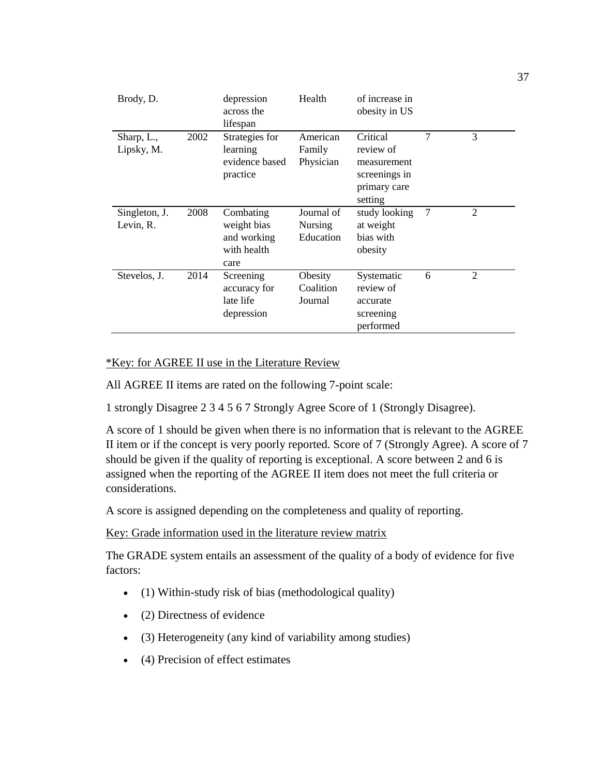| Brody, D.                  |      | depression<br>across the<br>lifespan                           | Health                             | of increase in<br>obesity in US                                                  |   |                |
|----------------------------|------|----------------------------------------------------------------|------------------------------------|----------------------------------------------------------------------------------|---|----------------|
| Sharp, L.,<br>Lipsky, M.   | 2002 | Strategies for<br>learning<br>evidence based<br>practice       | American<br>Family<br>Physician    | Critical<br>review of<br>measurement<br>screenings in<br>primary care<br>setting | 7 | 3              |
| Singleton, J.<br>Levin, R. | 2008 | Combating<br>weight bias<br>and working<br>with health<br>care | Journal of<br>Nursing<br>Education | study looking<br>at weight<br>bias with<br>obesity                               | 7 | $\overline{2}$ |
| Stevelos, J.               | 2014 | Screening<br>accuracy for<br>late life<br>depression           | Obesity<br>Coalition<br>Journal    | Systematic<br>review of<br>accurate<br>screening<br>performed                    | 6 | $\mathfrak{D}$ |

#### \*Key: for AGREE II use in the Literature Review

All AGREE II items are rated on the following 7-point scale:

1 strongly Disagree 2 3 4 5 6 7 Strongly Agree Score of 1 (Strongly Disagree).

A score of 1 should be given when there is no information that is relevant to the AGREE II item or if the concept is very poorly reported. Score of 7 (Strongly Agree). A score of 7 should be given if the quality of reporting is exceptional. A score between 2 and 6 is assigned when the reporting of the AGREE II item does not meet the full criteria or considerations.

A score is assigned depending on the completeness and quality of reporting.

Key: Grade information used in the literature review matrix

The GRADE system entails an assessment of the quality of a body of evidence for five factors:

- (1) Within-study risk of bias (methodological quality)
- (2) Directness of evidence
- (3) Heterogeneity (any kind of variability among studies)
- (4) Precision of effect estimates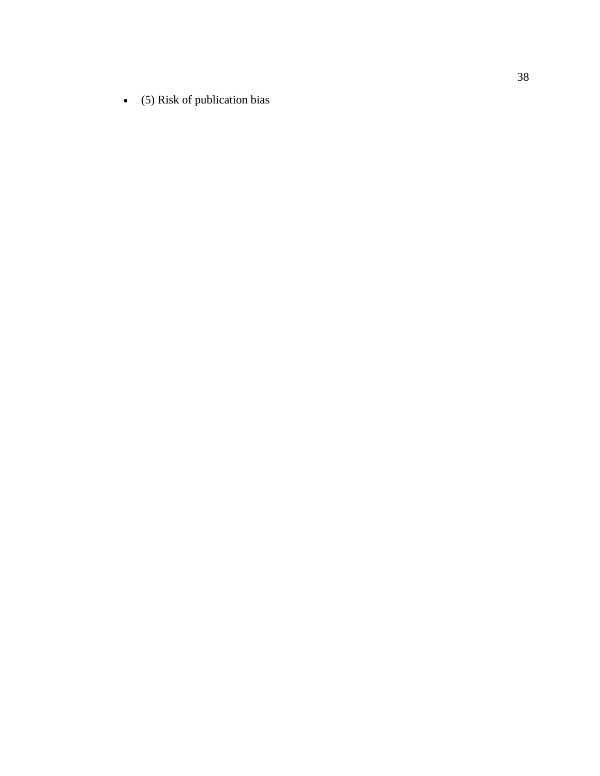(5) Risk of publication bias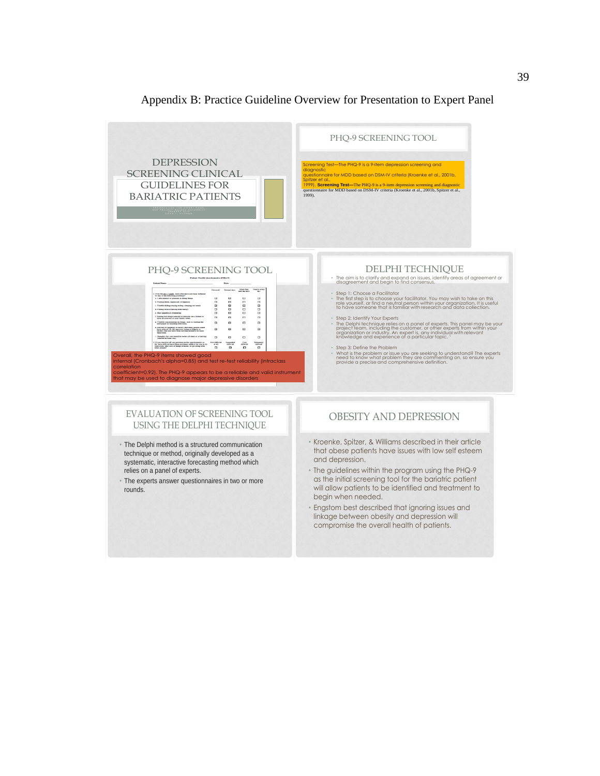<span id="page-48-0"></span>

#### Appendix B: Practice Guideline Overview for Presentation to Expert Panel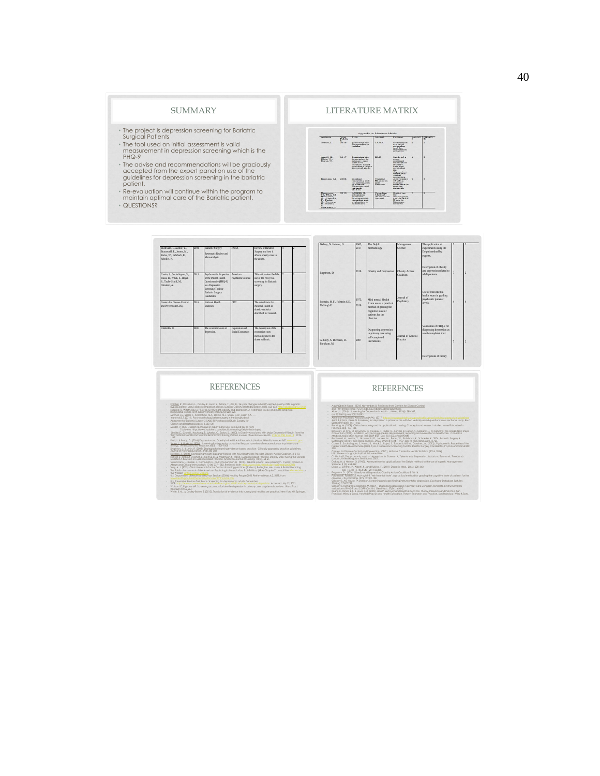#### SUMMARY

- The project is depression screening for Bariatric
- Surgical Patients<br>The tool used on initial assessment is valid • The tool used on initial assessment is valid measurement in depression screening which is the PHQ-9
- The advise and recommendations will be graciously accepted from the expert panel on use of the guidelines for depression screening in the bariatric
- patient.<br>Re-evaluation will continue within the program to
- maintain optimal care of the Bariatric patient. • QUESTIONS?



| Buchwald.H., Avidor, Y.,<br>Braunwald, E., Jensen, M.,<br>Pories, W., Fahrbach, K.,<br>Scholles, K. | 2004 | Bariatric Surgery<br>Systematic Review and<br>Meta-analysis                                          | <b>JAMA</b>                        | Review of Bariatric<br>Surgery and how it<br>affects obesity rates in<br>the adults.       |  | Dalkey, N. Helmer, O.                       | 1963.<br>2017 | The Delphi<br>methodology                                                                                                     | Management<br>Science          | The application of<br>experiments using the<br>Delphi method by<br>experts.      |  |
|-----------------------------------------------------------------------------------------------------|------|------------------------------------------------------------------------------------------------------|------------------------------------|--------------------------------------------------------------------------------------------|--|---------------------------------------------|---------------|-------------------------------------------------------------------------------------------------------------------------------|--------------------------------|----------------------------------------------------------------------------------|--|
| Cassin, S., Sockalingam, S.,<br>Hawa, R., Wask, S., Royal,<br>S., Taube-Schiff, M.,<br>Okrainec, A. | 2013 | Psychometric Properties<br>of the Patient Health<br>Ourstionnaire (PHO-9)<br>as a Depression         | American<br>Psychiatric Journal    | This article described the<br>use of the PHO-9 as<br>screening for Bariatric<br>surgery.   |  | Enestrom, D.                                | 2016          | Obesity and Depression                                                                                                        | Obesity Action<br>Coalition    | Description of obesity<br>and depression related to<br>adult patients.           |  |
| Centers for Disease Control<br>and Prevention (CDC)                                                 | 2016 | Screening Tool for<br><b>Bariatric Surgery</b><br>Candidates<br>National Health<br><b>Statistics</b> | CDC                                | The actual facts for<br>National Health in<br>obesity statistics<br>described for research |  | Folstein, M.F., Folstein S.E.,<br>McHugh P. | 1975.<br>2016 | Mini mental Health<br>Exam use as a practical<br>method of studing the<br>comitive state of<br>patients for the<br>clinician. | Icernal of<br>Psychiatry       | Hse of Mini mental<br>health exam in grading<br>psychiatric patients'<br>levels. |  |
| Chisholm, D.                                                                                        | 2001 | The economic costs of<br>depression.                                                                 | Depression and<br>Social Feonemics | The description of the<br>economics costs<br>increasing due to the<br>obese epidemic.      |  | Gilbody, S. Richards, D.<br>Barkham, M.     | 2007          | Diagnosing depression<br>in primary care using<br>self-completed<br>instruments.                                              | Iournal of General<br>Practice | Validation of PHO-9 for<br>diagnosing depression as<br>a self-completed tool.    |  |
|                                                                                                     |      |                                                                                                      |                                    |                                                                                            |  |                                             |               |                                                                                                                               |                                | Descriptions of theory                                                           |  |

#### REFERENCES

#### REFERENCES

. Αναλύδειά τρόπι. Στην προσπαθεί Μαίνου Καλιτικό Μαινου (2018)<br>- αποτελεί τρόπι - Στην προσπαθεί Μαινου (2018)<br>- αποτελεί τρόπι - Στην προσπαθεί Μαινου (2018)<br>- καθεί Καλιτικό Παρακολογία - Μαινου (2018)<br>- καθεί Καλιτι

Capital Malays Groups (Capital Previous), CDC Institute Capital Malays (2014)<br>Columbia Discovery Control Company, CDC Institute Capital Malays (2014)<br>Columbia Discovery Company (2016)<br>Columbia Discovery Company (2016)<br>Colu

- 
- $\frac{\log(200,0.000) \log(200,0.000)}{\log(200,0.000)} \leq \frac{\log(200,0.000)}{\log(200,0.000)} \leq \frac{\log(200,0.000)}{\log(200,0.000)} \leq \frac{\log(200,0.000)}{\log(200,0.000)} \leq \frac{\log(200,0.000)}{\log(200,0.000)} \leq \frac{\log(200,0.000)}{\log(200,0.000)} \leq \frac{\log(200,0.000)}{\log(200$
- 
- 
- 
- Part 1. Michael D. (2014) Dependented College) in the SAM Houstoched Hollens (Marketter 14), and the Samuel College of the Samuel College of the Samuel College of the Samuel College of the Samuel College of the Samuel Col
-